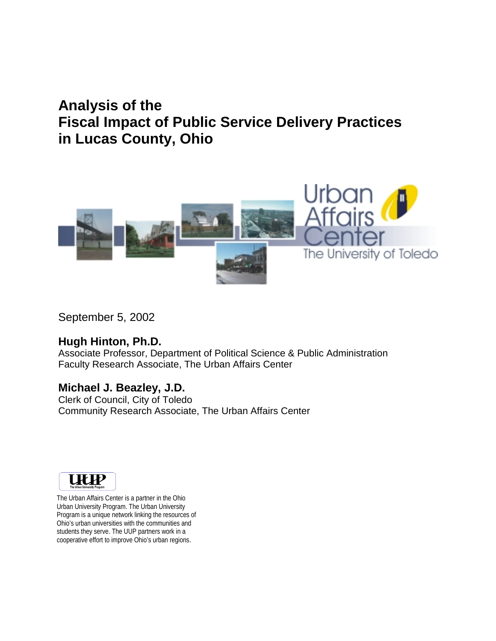# **Analysis of the Fiscal Impact of Public Service Delivery Practices in Lucas County, Ohio**



September 5, 2002

#### **Hugh Hinton, Ph.D.**

Associate Professor, Department of Political Science & Public Administration Faculty Research Associate, The Urban Affairs Center

### **Michael J. Beazley, J.D.**

Clerk of Council, City of Toledo Community Research Associate, The Urban Affairs Center



The Urban Affairs Center is a partner in the Ohio Urban University Program. The Urban University Program is a unique network linking the resources of Ohio's urban universities with the communities and students they serve. The UUP partners work in a cooperative effort to improve Ohio's urban regions.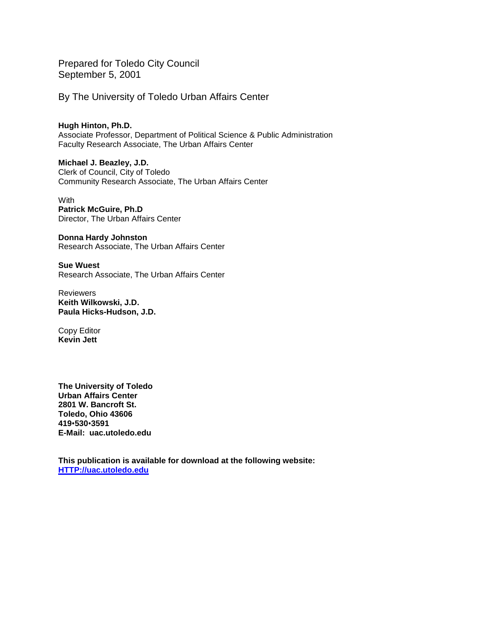Prepared for Toledo City Council September 5, 2001

By The University of Toledo Urban Affairs Center

**Hugh Hinton, Ph.D.**  Associate Professor, Department of Political Science & Public Administration Faculty Research Associate, The Urban Affairs Center

**Michael J. Beazley, J.D.**  Clerk of Council, City of Toledo Community Research Associate, The Urban Affairs Center

**With Patrick McGuire, Ph.D**  Director, The Urban Affairs Center

**Donna Hardy Johnston**  Research Associate, The Urban Affairs Center

**Sue Wuest**  Research Associate, The Urban Affairs Center

Reviewers **Keith Wilkowski, J.D. Paula Hicks-Hudson, J.D.**

Copy Editor **Kevin Jett** 

**The University of Toledo Urban Affairs Center 2801 W. Bancroft St. Toledo, Ohio 43606 419**!**530**!**3591 E-Mail: uac.utoledo.edu** 

**This publication is available for download at the following website: HTTP://uac.utoledo.edu**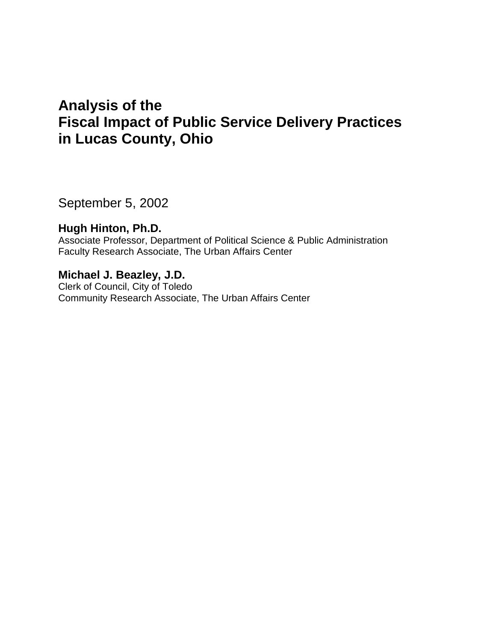# **Analysis of the Fiscal Impact of Public Service Delivery Practices in Lucas County, Ohio**

September 5, 2002

### **Hugh Hinton, Ph.D.**

Associate Professor, Department of Political Science & Public Administration Faculty Research Associate, The Urban Affairs Center

### **Michael J. Beazley, J.D.**

Clerk of Council, City of Toledo Community Research Associate, The Urban Affairs Center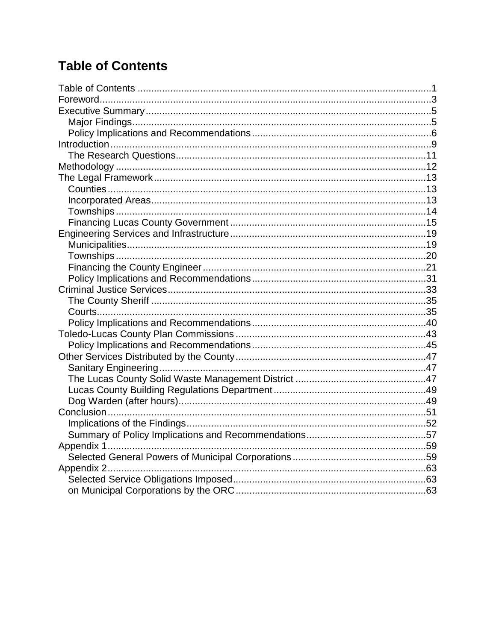# **Table of Contents**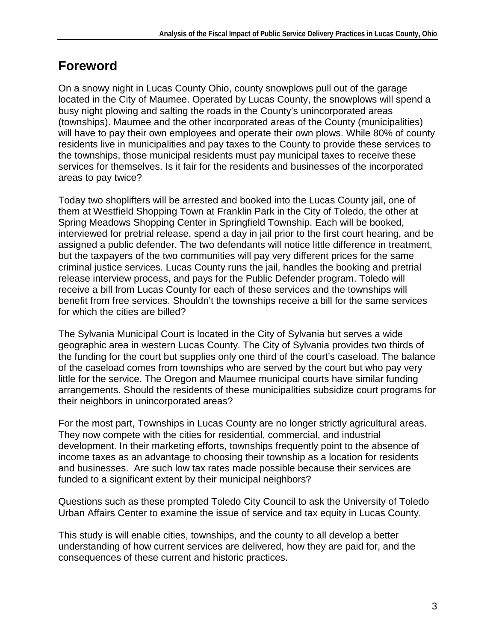## **Foreword**

On a snowy night in Lucas County Ohio, county snowplows pull out of the garage located in the City of Maumee. Operated by Lucas County, the snowplows will spend a busy night plowing and salting the roads in the County's unincorporated areas (townships). Maumee and the other incorporated areas of the County (municipalities) will have to pay their own employees and operate their own plows. While 80% of county residents live in municipalities and pay taxes to the County to provide these services to the townships, those municipal residents must pay municipal taxes to receive these services for themselves. Is it fair for the residents and businesses of the incorporated areas to pay twice?

Today two shoplifters will be arrested and booked into the Lucas County jail, one of them at Westfield Shopping Town at Franklin Park in the City of Toledo, the other at Spring Meadows Shopping Center in Springfield Township. Each will be booked, interviewed for pretrial release, spend a day in jail prior to the first court hearing, and be assigned a public defender. The two defendants will notice little difference in treatment, but the taxpayers of the two communities will pay very different prices for the same criminal justice services. Lucas County runs the jail, handles the booking and pretrial release interview process, and pays for the Public Defender program. Toledo will receive a bill from Lucas County for each of these services and the townships will benefit from free services. Shouldn't the townships receive a bill for the same services for which the cities are billed?

The Sylvania Municipal Court is located in the City of Sylvania but serves a wide geographic area in western Lucas County. The City of Sylvania provides two thirds of the funding for the court but supplies only one third of the court's caseload. The balance of the caseload comes from townships who are served by the court but who pay very little for the service. The Oregon and Maumee municipal courts have similar funding arrangements. Should the residents of these municipalities subsidize court programs for their neighbors in unincorporated areas?

For the most part, Townships in Lucas County are no longer strictly agricultural areas. They now compete with the cities for residential, commercial, and industrial development. In their marketing efforts, townships frequently point to the absence of income taxes as an advantage to choosing their township as a location for residents and businesses. Are such low tax rates made possible because their services are funded to a significant extent by their municipal neighbors?

Questions such as these prompted Toledo City Council to ask the University of Toledo Urban Affairs Center to examine the issue of service and tax equity in Lucas County.

This study is will enable cities, townships, and the county to all develop a better understanding of how current services are delivered, how they are paid for, and the consequences of these current and historic practices.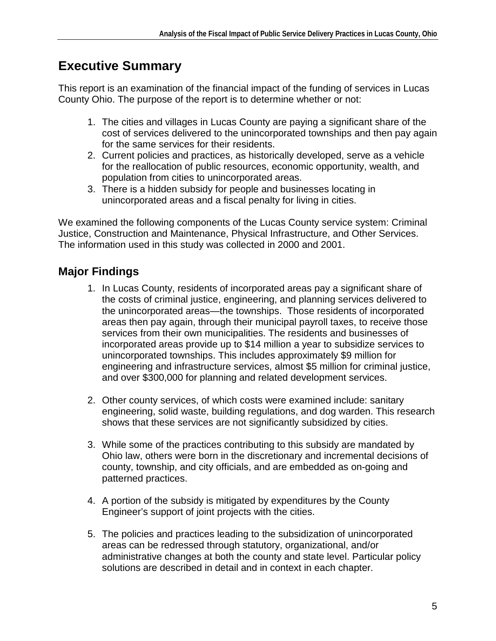# **Executive Summary**

This report is an examination of the financial impact of the funding of services in Lucas County Ohio. The purpose of the report is to determine whether or not:

- 1. The cities and villages in Lucas County are paying a significant share of the cost of services delivered to the unincorporated townships and then pay again for the same services for their residents.
- 2. Current policies and practices, as historically developed, serve as a vehicle for the reallocation of public resources, economic opportunity, wealth, and population from cities to unincorporated areas.
- 3. There is a hidden subsidy for people and businesses locating in unincorporated areas and a fiscal penalty for living in cities.

We examined the following components of the Lucas County service system: Criminal Justice, Construction and Maintenance, Physical Infrastructure, and Other Services. The information used in this study was collected in 2000 and 2001.

## **Major Findings**

- 1. In Lucas County, residents of incorporated areas pay a significant share of the costs of criminal justice, engineering, and planning services delivered to the unincorporated areas—the townships. Those residents of incorporated areas then pay again, through their municipal payroll taxes, to receive those services from their own municipalities. The residents and businesses of incorporated areas provide up to \$14 million a year to subsidize services to unincorporated townships. This includes approximately \$9 million for engineering and infrastructure services, almost \$5 million for criminal justice, and over \$300,000 for planning and related development services.
- 2. Other county services, of which costs were examined include: sanitary engineering, solid waste, building regulations, and dog warden. This research shows that these services are not significantly subsidized by cities.
- 3. While some of the practices contributing to this subsidy are mandated by Ohio law, others were born in the discretionary and incremental decisions of county, township, and city officials, and are embedded as on-going and patterned practices.
- 4. A portion of the subsidy is mitigated by expenditures by the County Engineer's support of joint projects with the cities.
- 5. The policies and practices leading to the subsidization of unincorporated areas can be redressed through statutory, organizational, and/or administrative changes at both the county and state level. Particular policy solutions are described in detail and in context in each chapter.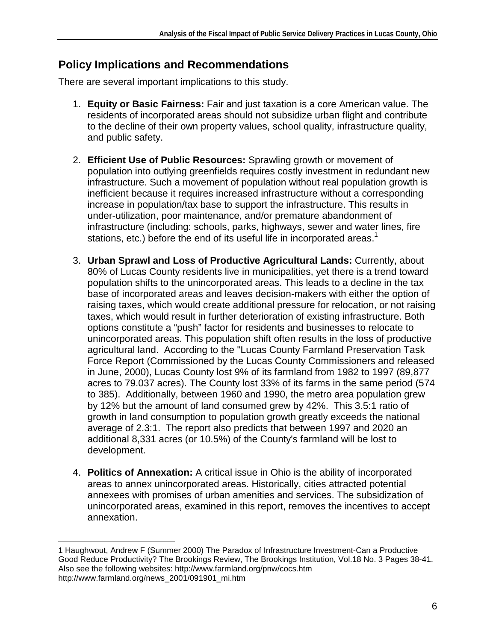### **Policy Implications and Recommendations**

There are several important implications to this study.

- 1. **Equity or Basic Fairness:** Fair and just taxation is a core American value. The residents of incorporated areas should not subsidize urban flight and contribute to the decline of their own property values, school quality, infrastructure quality, and public safety.
- 2. **Efficient Use of Public Resources:** Sprawling growth or movement of population into outlying greenfields requires costly investment in redundant new infrastructure. Such a movement of population without real population growth is inefficient because it requires increased infrastructure without a corresponding increase in population/tax base to support the infrastructure. This results in under-utilization, poor maintenance, and/or premature abandonment of infrastructure (including: schools, parks, highways, sewer and water lines, fire stations, etc.) before the end of its useful life in incorporated areas.<sup>1</sup>
- 3. **Urban Sprawl and Loss of Productive Agricultural Lands:** Currently, about 80% of Lucas County residents live in municipalities, yet there is a trend toward population shifts to the unincorporated areas. This leads to a decline in the tax base of incorporated areas and leaves decision-makers with either the option of raising taxes, which would create additional pressure for relocation, or not raising taxes, which would result in further deterioration of existing infrastructure. Both options constitute a "push" factor for residents and businesses to relocate to unincorporated areas. This population shift often results in the loss of productive agricultural land. According to the "Lucas County Farmland Preservation Task Force Report (Commissioned by the Lucas County Commissioners and released in June, 2000), Lucas County lost 9% of its farmland from 1982 to 1997 (89,877 acres to 79.037 acres). The County lost 33% of its farms in the same period (574 to 385). Additionally, between 1960 and 1990, the metro area population grew by 12% but the amount of land consumed grew by 42%. This 3.5:1 ratio of growth in land consumption to population growth greatly exceeds the national average of 2.3:1. The report also predicts that between 1997 and 2020 an additional 8,331 acres (or 10.5%) of the County's farmland will be lost to development.
- 4. **Politics of Annexation:** A critical issue in Ohio is the ability of incorporated areas to annex unincorporated areas. Historically, cities attracted potential annexees with promises of urban amenities and services. The subsidization of unincorporated areas, examined in this report, removes the incentives to accept annexation.

<sup>1</sup> 1 Haughwout, Andrew F (Summer 2000) The Paradox of Infrastructure Investment-Can a Productive Good Reduce Productivity? The Brookings Review, The Brookings Institution, Vol.18 No. 3 Pages 38-41. Also see the following websites: http://www.farmland.org/pnw/cocs.htm http://www.farmland.org/news\_2001/091901\_mi.htm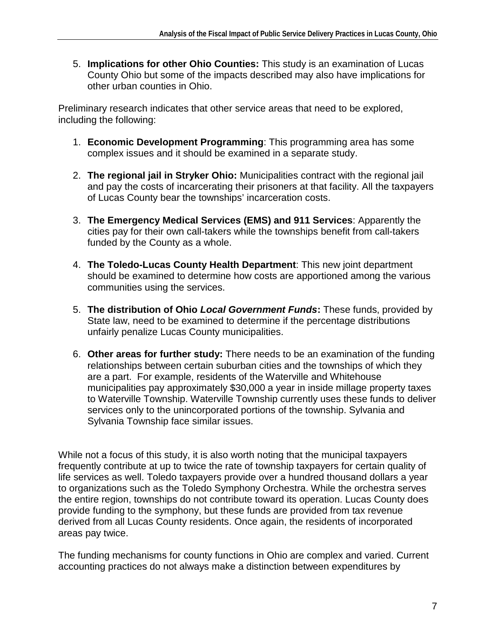5. **Implications for other Ohio Counties:** This study is an examination of Lucas County Ohio but some of the impacts described may also have implications for other urban counties in Ohio.

Preliminary research indicates that other service areas that need to be explored, including the following:

- 1. **Economic Development Programming**: This programming area has some complex issues and it should be examined in a separate study.
- 2. **The regional jail in Stryker Ohio:** Municipalities contract with the regional jail and pay the costs of incarcerating their prisoners at that facility. All the taxpayers of Lucas County bear the townships' incarceration costs.
- 3. **The Emergency Medical Services (EMS) and 911 Services**: Apparently the cities pay for their own call-takers while the townships benefit from call-takers funded by the County as a whole.
- 4. **The Toledo-Lucas County Health Department**: This new joint department should be examined to determine how costs are apportioned among the various communities using the services.
- 5. **The distribution of Ohio Local Government Funds:** These funds, provided by State law, need to be examined to determine if the percentage distributions unfairly penalize Lucas County municipalities.
- 6. **Other areas for further study:** There needs to be an examination of the funding relationships between certain suburban cities and the townships of which they are a part. For example, residents of the Waterville and Whitehouse municipalities pay approximately \$30,000 a year in inside millage property taxes to Waterville Township. Waterville Township currently uses these funds to deliver services only to the unincorporated portions of the township. Sylvania and Sylvania Township face similar issues.

While not a focus of this study, it is also worth noting that the municipal taxpayers frequently contribute at up to twice the rate of township taxpayers for certain quality of life services as well. Toledo taxpayers provide over a hundred thousand dollars a year to organizations such as the Toledo Symphony Orchestra. While the orchestra serves the entire region, townships do not contribute toward its operation. Lucas County does provide funding to the symphony, but these funds are provided from tax revenue derived from all Lucas County residents. Once again, the residents of incorporated areas pay twice.

The funding mechanisms for county functions in Ohio are complex and varied. Current accounting practices do not always make a distinction between expenditures by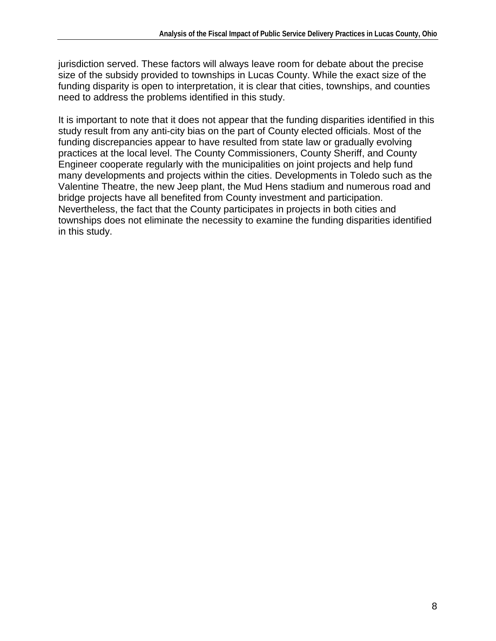jurisdiction served. These factors will always leave room for debate about the precise size of the subsidy provided to townships in Lucas County. While the exact size of the funding disparity is open to interpretation, it is clear that cities, townships, and counties need to address the problems identified in this study.

It is important to note that it does not appear that the funding disparities identified in this study result from any anti-city bias on the part of County elected officials. Most of the funding discrepancies appear to have resulted from state law or gradually evolving practices at the local level. The County Commissioners, County Sheriff, and County Engineer cooperate regularly with the municipalities on joint projects and help fund many developments and projects within the cities. Developments in Toledo such as the Valentine Theatre, the new Jeep plant, the Mud Hens stadium and numerous road and bridge projects have all benefited from County investment and participation. Nevertheless, the fact that the County participates in projects in both cities and townships does not eliminate the necessity to examine the funding disparities identified in this study.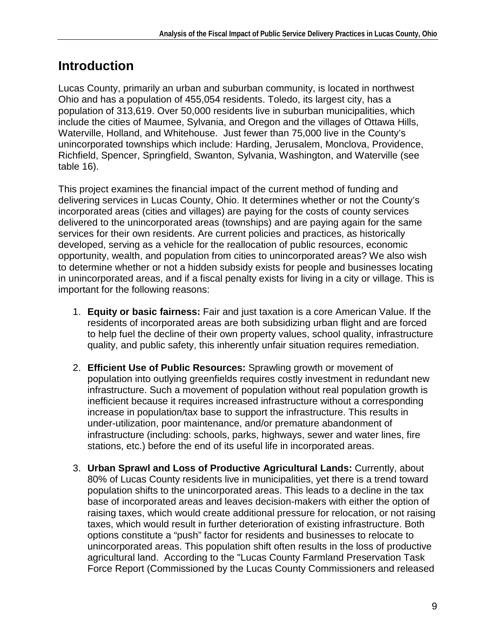## **Introduction**

Lucas County, primarily an urban and suburban community, is located in northwest Ohio and has a population of 455,054 residents. Toledo, its largest city, has a population of 313,619. Over 50,000 residents live in suburban municipalities, which include the cities of Maumee, Sylvania, and Oregon and the villages of Ottawa Hills, Waterville, Holland, and Whitehouse. Just fewer than 75,000 live in the County's unincorporated townships which include: Harding, Jerusalem, Monclova, Providence, Richfield, Spencer, Springfield, Swanton, Sylvania, Washington, and Waterville (see table 16).

This project examines the financial impact of the current method of funding and delivering services in Lucas County, Ohio. It determines whether or not the County's incorporated areas (cities and villages) are paying for the costs of county services delivered to the unincorporated areas (townships) and are paying again for the same services for their own residents. Are current policies and practices, as historically developed, serving as a vehicle for the reallocation of public resources, economic opportunity, wealth, and population from cities to unincorporated areas? We also wish to determine whether or not a hidden subsidy exists for people and businesses locating in unincorporated areas, and if a fiscal penalty exists for living in a city or village. This is important for the following reasons:

- 1. **Equity or basic fairness:** Fair and just taxation is a core American Value. If the residents of incorporated areas are both subsidizing urban flight and are forced to help fuel the decline of their own property values, school quality, infrastructure quality, and public safety, this inherently unfair situation requires remediation.
- 2. **Efficient Use of Public Resources:** Sprawling growth or movement of population into outlying greenfields requires costly investment in redundant new infrastructure. Such a movement of population without real population growth is inefficient because it requires increased infrastructure without a corresponding increase in population/tax base to support the infrastructure. This results in under-utilization, poor maintenance, and/or premature abandonment of infrastructure (including: schools, parks, highways, sewer and water lines, fire stations, etc.) before the end of its useful life in incorporated areas.
- 3. **Urban Sprawl and Loss of Productive Agricultural Lands:** Currently, about 80% of Lucas County residents live in municipalities, yet there is a trend toward population shifts to the unincorporated areas. This leads to a decline in the tax base of incorporated areas and leaves decision-makers with either the option of raising taxes, which would create additional pressure for relocation, or not raising taxes, which would result in further deterioration of existing infrastructure. Both options constitute a "push" factor for residents and businesses to relocate to unincorporated areas. This population shift often results in the loss of productive agricultural land. According to the "Lucas County Farmland Preservation Task Force Report (Commissioned by the Lucas County Commissioners and released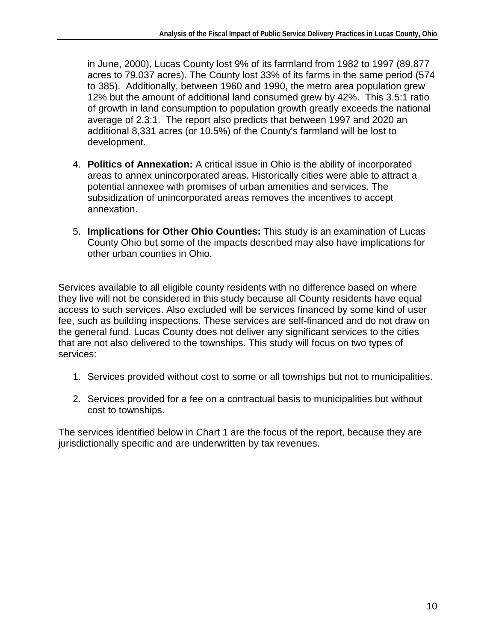in June, 2000), Lucas County lost 9% of its farmland from 1982 to 1997 (89,877 acres to 79.037 acres). The County lost 33% of its farms in the same period (574 to 385). Additionally, between 1960 and 1990, the metro area population grew 12% but the amount of additional land consumed grew by 42%. This 3.5:1 ratio of growth in land consumption to population growth greatly exceeds the national average of 2.3:1. The report also predicts that between 1997 and 2020 an additional 8,331 acres (or 10.5%) of the County's farmland will be lost to development.

- 4. **Politics of Annexation:** A critical issue in Ohio is the ability of incorporated areas to annex unincorporated areas. Historically cities were able to attract a potential annexee with promises of urban amenities and services. The subsidization of unincorporated areas removes the incentives to accept annexation.
- 5. **Implications for Other Ohio Counties:** This study is an examination of Lucas County Ohio but some of the impacts described may also have implications for other urban counties in Ohio.

Services available to all eligible county residents with no difference based on where they live will not be considered in this study because all County residents have equal access to such services. Also excluded will be services financed by some kind of user fee, such as building inspections. These services are self-financed and do not draw on the general fund. Lucas County does not deliver any significant services to the cities that are not also delivered to the townships. This study will focus on two types of services:

- 1. Services provided without cost to some or all townships but not to municipalities.
- 2. Services provided for a fee on a contractual basis to municipalities but without cost to townships.

The services identified below in Chart 1 are the focus of the report, because they are jurisdictionally specific and are underwritten by tax revenues.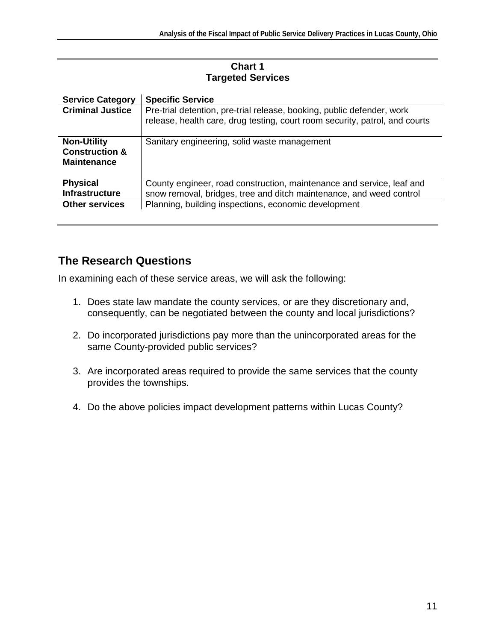#### **Chart 1 Targeted Services**

| <b>Service Category</b>                                               | <b>Specific Service</b>                                                                                                                               |
|-----------------------------------------------------------------------|-------------------------------------------------------------------------------------------------------------------------------------------------------|
| <b>Criminal Justice</b>                                               | Pre-trial detention, pre-trial release, booking, public defender, work<br>release, health care, drug testing, court room security, patrol, and courts |
| <b>Non-Utility</b><br><b>Construction &amp;</b><br><b>Maintenance</b> | Sanitary engineering, solid waste management                                                                                                          |
| <b>Physical</b><br><b>Infrastructure</b>                              | County engineer, road construction, maintenance and service, leaf and<br>snow removal, bridges, tree and ditch maintenance, and weed control          |
| <b>Other services</b>                                                 | Planning, building inspections, economic development                                                                                                  |

## **The Research Questions**

In examining each of these service areas, we will ask the following:

- 1. Does state law mandate the county services, or are they discretionary and, consequently, can be negotiated between the county and local jurisdictions?
- 2. Do incorporated jurisdictions pay more than the unincorporated areas for the same County-provided public services?
- 3. Are incorporated areas required to provide the same services that the county provides the townships.
- 4. Do the above policies impact development patterns within Lucas County?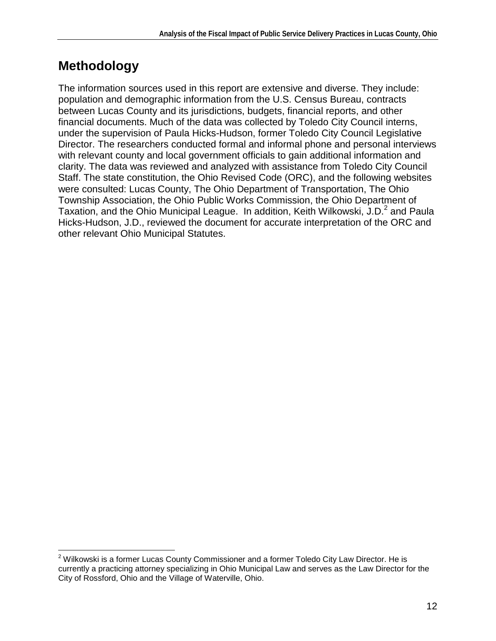# **Methodology**

 $\overline{\phantom{a}}$ 

The information sources used in this report are extensive and diverse. They include: population and demographic information from the U.S. Census Bureau, contracts between Lucas County and its jurisdictions, budgets, financial reports, and other financial documents. Much of the data was collected by Toledo City Council interns, under the supervision of Paula Hicks-Hudson, former Toledo City Council Legislative Director. The researchers conducted formal and informal phone and personal interviews with relevant county and local government officials to gain additional information and clarity. The data was reviewed and analyzed with assistance from Toledo City Council Staff. The state constitution, the Ohio Revised Code (ORC), and the following websites were consulted: Lucas County, The Ohio Department of Transportation, The Ohio Township Association, the Ohio Public Works Commission, the Ohio Department of Taxation, and the Ohio Municipal League. In addition, Keith Wilkowski, J.D.<sup>2</sup> and Paula Hicks-Hudson, J.D., reviewed the document for accurate interpretation of the ORC and other relevant Ohio Municipal Statutes.

 $^{2}$  Wilkowski is a former Lucas County Commissioner and a former Toledo City Law Director. He is currently a practicing attorney specializing in Ohio Municipal Law and serves as the Law Director for the City of Rossford, Ohio and the Village of Waterville, Ohio.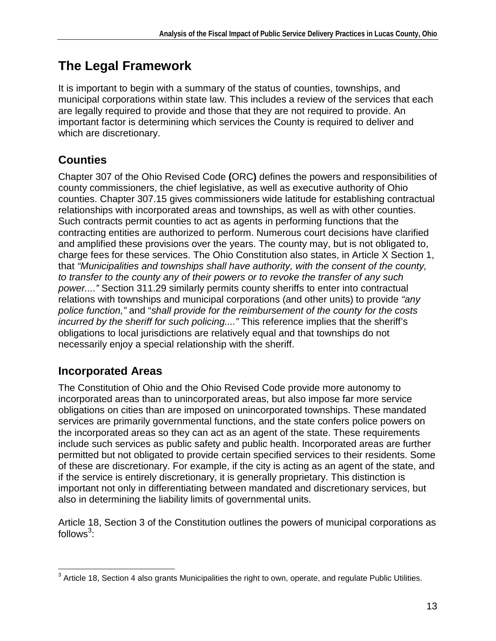# **The Legal Framework**

It is important to begin with a summary of the status of counties, townships, and municipal corporations within state law. This includes a review of the services that each are legally required to provide and those that they are not required to provide. An important factor is determining which services the County is required to deliver and which are discretionary.

# **Counties**

Chapter 307 of the Ohio Revised Code **(**ORC**)** defines the powers and responsibilities of county commissioners, the chief legislative, as well as executive authority of Ohio counties. Chapter 307.15 gives commissioners wide latitude for establishing contractual relationships with incorporated areas and townships, as well as with other counties. Such contracts permit counties to act as agents in performing functions that the contracting entities are authorized to perform. Numerous court decisions have clarified and amplified these provisions over the years. The county may, but is not obligated to, charge fees for these services. The Ohio Constitution also states, in Article X Section 1, that "Municipalities and townships shall have authority, with the consent of the county, to transfer to the county any of their powers or to revoke the transfer of any such power...." Section 311.29 similarly permits county sheriffs to enter into contractual relations with townships and municipal corporations (and other units) to provide "any police function," and "shall provide for the reimbursement of the county for the costs incurred by the sheriff for such policing...." This reference implies that the sheriff's obligations to local jurisdictions are relatively equal and that townships do not necessarily enjoy a special relationship with the sheriff.

## **Incorporated Areas**

The Constitution of Ohio and the Ohio Revised Code provide more autonomy to incorporated areas than to unincorporated areas, but also impose far more service obligations on cities than are imposed on unincorporated townships. These mandated services are primarily governmental functions, and the state confers police powers on the incorporated areas so they can act as an agent of the state. These requirements include such services as public safety and public health. Incorporated areas are further permitted but not obligated to provide certain specified services to their residents. Some of these are discretionary. For example, if the city is acting as an agent of the state, and if the service is entirely discretionary, it is generally proprietary. This distinction is important not only in differentiating between mandated and discretionary services, but also in determining the liability limits of governmental units.

Article 18, Section 3 of the Constitution outlines the powers of municipal corporations as follows $^3$ :

 3 Article 18, Section 4 also grants Municipalities the right to own, operate, and regulate Public Utilities.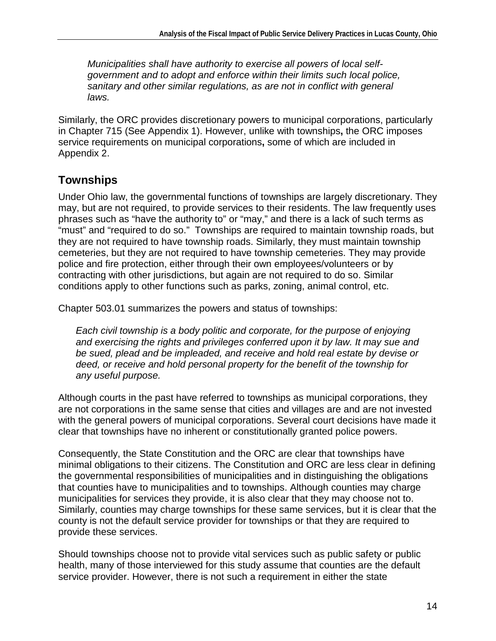Municipalities shall have authority to exercise all powers of local selfgovernment and to adopt and enforce within their limits such local police, sanitary and other similar regulations, as are not in conflict with general laws.

Similarly, the ORC provides discretionary powers to municipal corporations, particularly in Chapter 715 (See Appendix 1). However, unlike with townships**,** the ORC imposes service requirements on municipal corporations**,** some of which are included in Appendix 2.

## **Townships**

Under Ohio law, the governmental functions of townships are largely discretionary. They may, but are not required, to provide services to their residents. The law frequently uses phrases such as "have the authority to" or "may," and there is a lack of such terms as "must" and "required to do so." Townships are required to maintain township roads, but they are not required to have township roads. Similarly, they must maintain township cemeteries, but they are not required to have township cemeteries. They may provide police and fire protection, either through their own employees/volunteers or by contracting with other jurisdictions, but again are not required to do so. Similar conditions apply to other functions such as parks, zoning, animal control, etc.

Chapter 503.01 summarizes the powers and status of townships:

Each civil township is a body politic and corporate, for the purpose of enjoying and exercising the rights and privileges conferred upon it by law. It may sue and be sued, plead and be impleaded, and receive and hold real estate by devise or deed, or receive and hold personal property for the benefit of the township for any useful purpose.

Although courts in the past have referred to townships as municipal corporations, they are not corporations in the same sense that cities and villages are and are not invested with the general powers of municipal corporations. Several court decisions have made it clear that townships have no inherent or constitutionally granted police powers.

Consequently, the State Constitution and the ORC are clear that townships have minimal obligations to their citizens. The Constitution and ORC are less clear in defining the governmental responsibilities of municipalities and in distinguishing the obligations that counties have to municipalities and to townships. Although counties may charge municipalities for services they provide, it is also clear that they may choose not to. Similarly, counties may charge townships for these same services, but it is clear that the county is not the default service provider for townships or that they are required to provide these services.

Should townships choose not to provide vital services such as public safety or public health, many of those interviewed for this study assume that counties are the default service provider. However, there is not such a requirement in either the state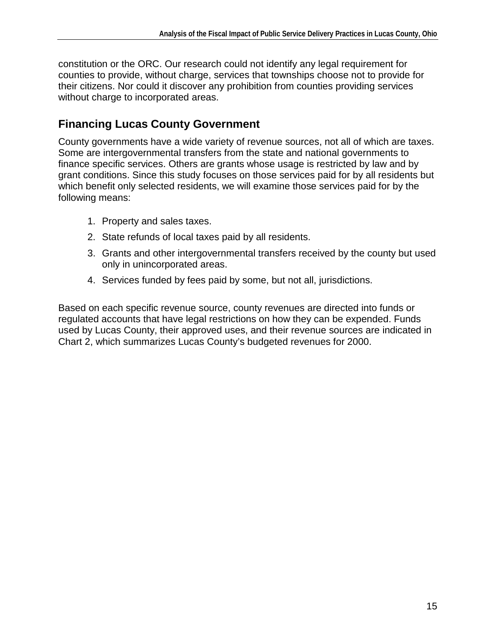constitution or the ORC. Our research could not identify any legal requirement for counties to provide, without charge, services that townships choose not to provide for their citizens. Nor could it discover any prohibition from counties providing services without charge to incorporated areas.

### **Financing Lucas County Government**

County governments have a wide variety of revenue sources, not all of which are taxes. Some are intergovernmental transfers from the state and national governments to finance specific services. Others are grants whose usage is restricted by law and by grant conditions. Since this study focuses on those services paid for by all residents but which benefit only selected residents, we will examine those services paid for by the following means:

- 1. Property and sales taxes.
- 2. State refunds of local taxes paid by all residents.
- 3. Grants and other intergovernmental transfers received by the county but used only in unincorporated areas.
- 4. Services funded by fees paid by some, but not all, jurisdictions.

Based on each specific revenue source, county revenues are directed into funds or regulated accounts that have legal restrictions on how they can be expended. Funds used by Lucas County, their approved uses, and their revenue sources are indicated in Chart 2, which summarizes Lucas County's budgeted revenues for 2000.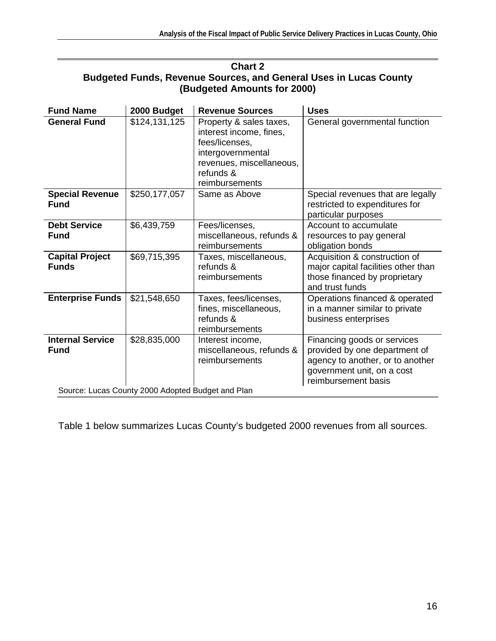| <b>Chart 2</b>                                                                              |               |                                                                                                                                                      |                                                                                                                                                       |  |
|---------------------------------------------------------------------------------------------|---------------|------------------------------------------------------------------------------------------------------------------------------------------------------|-------------------------------------------------------------------------------------------------------------------------------------------------------|--|
| <b>Budgeted Funds, Revenue Sources, and General Uses in Lucas County</b>                    |               |                                                                                                                                                      |                                                                                                                                                       |  |
|                                                                                             |               | (Budgeted Amounts for 2000)                                                                                                                          |                                                                                                                                                       |  |
| <b>Fund Name</b>                                                                            | 2000 Budget   | <b>Revenue Sources</b>                                                                                                                               | <b>Uses</b>                                                                                                                                           |  |
| <b>General Fund</b>                                                                         | \$124,131,125 | Property & sales taxes,<br>interest income, fines,<br>fees/licenses,<br>intergovernmental<br>revenues, miscellaneous,<br>refunds &<br>reimbursements | General governmental function                                                                                                                         |  |
| <b>Special Revenue</b><br><b>Fund</b>                                                       | \$250,177,057 | Same as Above                                                                                                                                        | Special revenues that are legally<br>restricted to expenditures for<br>particular purposes                                                            |  |
| <b>Debt Service</b><br><b>Fund</b>                                                          | \$6,439,759   | Fees/licenses,<br>miscellaneous, refunds &<br>reimbursements                                                                                         | Account to accumulate<br>resources to pay general<br>obligation bonds                                                                                 |  |
| <b>Capital Project</b><br><b>Funds</b>                                                      | \$69,715,395  | Taxes, miscellaneous,<br>refunds &<br>reimbursements                                                                                                 | Acquisition & construction of<br>major capital facilities other than<br>those financed by proprietary<br>and trust funds                              |  |
| <b>Enterprise Funds</b>                                                                     | \$21,548,650  | Taxes, fees/licenses,<br>fines, miscellaneous,<br>refunds &<br>reimbursements                                                                        | Operations financed & operated<br>in a manner similar to private<br>business enterprises                                                              |  |
| <b>Internal Service</b><br><b>Fund</b><br>Source: Lucas County 2000 Adopted Budget and Plan | \$28,835,000  | Interest income,<br>miscellaneous, refunds &<br>reimbursements                                                                                       | Financing goods or services<br>provided by one department of<br>agency to another, or to another<br>government unit, on a cost<br>reimbursement basis |  |

Table 1 below summarizes Lucas County's budgeted 2000 revenues from all sources.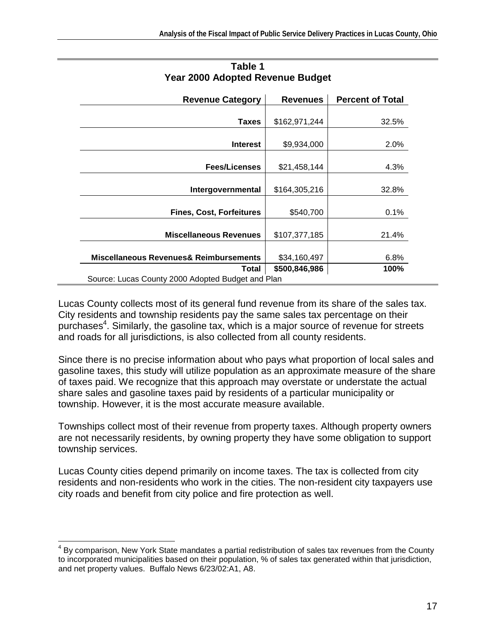| <b>Revenue Category</b>                           | <b>Revenues</b> | <b>Percent of Total</b> |
|---------------------------------------------------|-----------------|-------------------------|
| <b>Taxes</b>                                      | \$162,971,244   | 32.5%                   |
|                                                   |                 |                         |
| <b>Interest</b>                                   | \$9,934,000     | 2.0%                    |
| <b>Fees/Licenses</b>                              | \$21,458,144    | 4.3%                    |
| Intergovernmental                                 | \$164,305,216   | 32.8%                   |
| <b>Fines, Cost, Forfeitures</b>                   | \$540,700       | 0.1%                    |
| <b>Miscellaneous Revenues</b>                     | \$107,377,185   | 21.4%                   |
| Miscellaneous Revenues& Reimbursements            | \$34,160,497    | 6.8%                    |
| <b>Total</b>                                      | \$500,846,986   | 100%                    |
| Source: Lucas County 2000 Adopted Budget and Plan |                 |                         |

#### **Table 1 Year 2000 Adopted Revenue Budget**

Lucas County collects most of its general fund revenue from its share of the sales tax. City residents and township residents pay the same sales tax percentage on their purchases<sup>4</sup>. Similarly, the gasoline tax, which is a major source of revenue for streets and roads for all jurisdictions, is also collected from all county residents.

Since there is no precise information about who pays what proportion of local sales and gasoline taxes, this study will utilize population as an approximate measure of the share of taxes paid. We recognize that this approach may overstate or understate the actual share sales and gasoline taxes paid by residents of a particular municipality or township. However, it is the most accurate measure available.

Townships collect most of their revenue from property taxes. Although property owners are not necessarily residents, by owning property they have some obligation to support township services.

Lucas County cities depend primarily on income taxes. The tax is collected from city residents and non-residents who work in the cities. The non-resident city taxpayers use city roads and benefit from city police and fire protection as well.

<sup>1</sup> <sup>4</sup> By comparison, New York State mandates a partial redistribution of sales tax revenues from the County to incorporated municipalities based on their population, % of sales tax generated within that jurisdiction, and net property values. Buffalo News 6/23/02:A1, A8.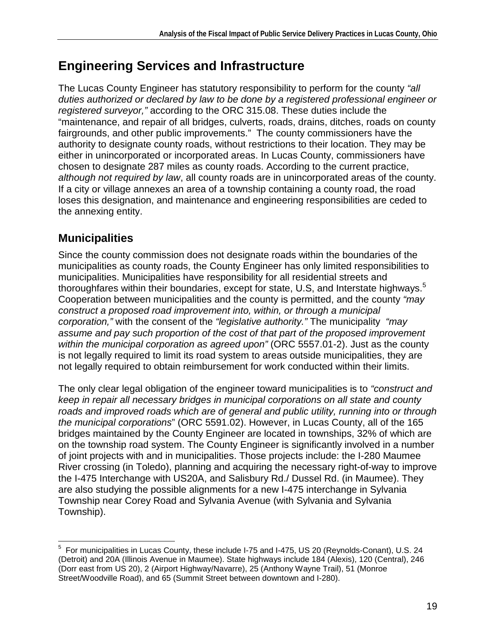# **Engineering Services and Infrastructure**

The Lucas County Engineer has statutory responsibility to perform for the county "all duties authorized or declared by law to be done by a registered professional engineer or registered surveyor," according to the ORC 315.08. These duties include the "maintenance, and repair of all bridges, culverts, roads, drains, ditches, roads on county fairgrounds, and other public improvements." The county commissioners have the authority to designate county roads, without restrictions to their location. They may be either in unincorporated or incorporated areas. In Lucas County, commissioners have chosen to designate 287 miles as county roads. According to the current practice, although not required by law, all county roads are in unincorporated areas of the county. If a city or village annexes an area of a township containing a county road, the road loses this designation, and maintenance and engineering responsibilities are ceded to the annexing entity.

### **Municipalities**

Since the county commission does not designate roads within the boundaries of the municipalities as county roads, the County Engineer has only limited responsibilities to municipalities. Municipalities have responsibility for all residential streets and thoroughfares within their boundaries, except for state, U.S, and Interstate highways.<sup>5</sup> Cooperation between municipalities and the county is permitted, and the county "may construct a proposed road improvement into, within, or through a municipal corporation," with the consent of the "legislative authority." The municipality "may assume and pay such proportion of the cost of that part of the proposed improvement within the municipal corporation as agreed upon" (ORC 5557.01-2). Just as the county is not legally required to limit its road system to areas outside municipalities, they are not legally required to obtain reimbursement for work conducted within their limits.

The only clear legal obligation of the engineer toward municipalities is to "construct and keep in repair all necessary bridges in municipal corporations on all state and county roads and improved roads which are of general and public utility, running into or through the municipal corporations" (ORC 5591.02). However, in Lucas County, all of the 165 bridges maintained by the County Engineer are located in townships, 32% of which are on the township road system. The County Engineer is significantly involved in a number of joint projects with and in municipalities. Those projects include: the I-280 Maumee River crossing (in Toledo), planning and acquiring the necessary right-of-way to improve the I-475 Interchange with US20A, and Salisbury Rd./ Dussel Rd. (in Maumee). They are also studying the possible alignments for a new I-475 interchange in Sylvania Township near Corey Road and Sylvania Avenue (with Sylvania and Sylvania Township).

 5 For municipalities in Lucas County, these include I-75 and I-475, US 20 (Reynolds-Conant), U.S. 24 (Detroit) and 20A (Illinois Avenue in Maumee). State highways include 184 (Alexis), 120 (Central), 246 (Dorr east from US 20), 2 (Airport Highway/Navarre), 25 (Anthony Wayne Trail), 51 (Monroe Street/Woodville Road), and 65 (Summit Street between downtown and I-280).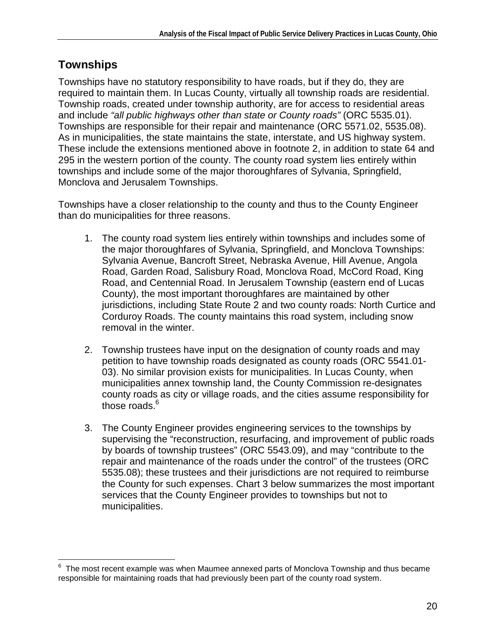### **Townships**

Townships have no statutory responsibility to have roads, but if they do, they are required to maintain them. In Lucas County, virtually all township roads are residential. Township roads, created under township authority, are for access to residential areas and include "all public highways other than state or County roads" (ORC 5535.01). Townships are responsible for their repair and maintenance (ORC 5571.02, 5535.08). As in municipalities, the state maintains the state, interstate, and US highway system. These include the extensions mentioned above in footnote 2, in addition to state 64 and 295 in the western portion of the county. The county road system lies entirely within townships and include some of the major thoroughfares of Sylvania, Springfield, Monclova and Jerusalem Townships.

Townships have a closer relationship to the county and thus to the County Engineer than do municipalities for three reasons.

- 1. The county road system lies entirely within townships and includes some of the major thoroughfares of Sylvania, Springfield, and Monclova Townships: Sylvania Avenue, Bancroft Street, Nebraska Avenue, Hill Avenue, Angola Road, Garden Road, Salisbury Road, Monclova Road, McCord Road, King Road, and Centennial Road. In Jerusalem Township (eastern end of Lucas County), the most important thoroughfares are maintained by other jurisdictions, including State Route 2 and two county roads: North Curtice and Corduroy Roads. The county maintains this road system, including snow removal in the winter.
- 2. Township trustees have input on the designation of county roads and may petition to have township roads designated as county roads (ORC 5541.01- 03). No similar provision exists for municipalities. In Lucas County, when municipalities annex township land, the County Commission re-designates county roads as city or village roads, and the cities assume responsibility for those roads.<sup>6</sup>
- 3. The County Engineer provides engineering services to the townships by supervising the "reconstruction, resurfacing, and improvement of public roads by boards of township trustees" (ORC 5543.09), and may "contribute to the repair and maintenance of the roads under the control" of the trustees (ORC 5535.08); these trustees and their jurisdictions are not required to reimburse the County for such expenses. Chart 3 below summarizes the most important services that the County Engineer provides to townships but not to municipalities.

<sup>–&</sup>lt;br>6 The most recent example was when Maumee annexed parts of Monclova Township and thus became responsible for maintaining roads that had previously been part of the county road system.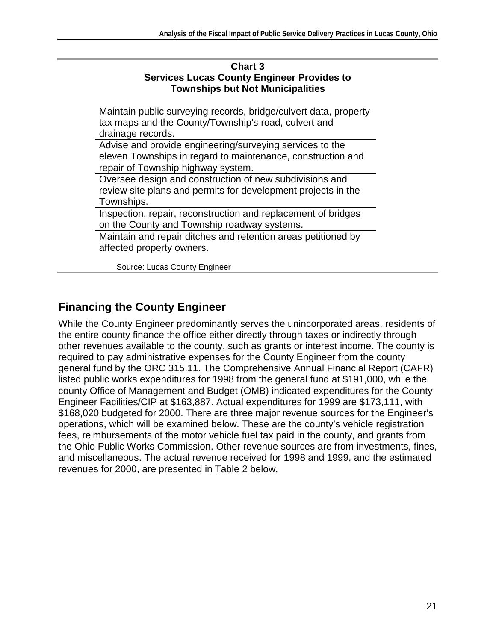| <b>Chart 3</b>                                    |
|---------------------------------------------------|
| <b>Services Lucas County Engineer Provides to</b> |
| <b>Townships but Not Municipalities</b>           |

Maintain public surveying records, bridge/culvert data, property tax maps and the County/Township's road, culvert and drainage records.

Advise and provide engineering/surveying services to the eleven Townships in regard to maintenance, construction and repair of Township highway system.

Oversee design and construction of new subdivisions and review site plans and permits for development projects in the Townships.

Inspection, repair, reconstruction and replacement of bridges on the County and Township roadway systems.

Maintain and repair ditches and retention areas petitioned by affected property owners.

Source: Lucas County Engineer

## **Financing the County Engineer**

While the County Engineer predominantly serves the unincorporated areas, residents of the entire county finance the office either directly through taxes or indirectly through other revenues available to the county, such as grants or interest income. The county is required to pay administrative expenses for the County Engineer from the county general fund by the ORC 315.11. The Comprehensive Annual Financial Report (CAFR) listed public works expenditures for 1998 from the general fund at \$191,000, while the county Office of Management and Budget (OMB) indicated expenditures for the County Engineer Facilities/CIP at \$163,887. Actual expenditures for 1999 are \$173,111, with \$168,020 budgeted for 2000. There are three major revenue sources for the Engineer's operations, which will be examined below. These are the county's vehicle registration fees, reimbursements of the motor vehicle fuel tax paid in the county, and grants from the Ohio Public Works Commission. Other revenue sources are from investments, fines, and miscellaneous. The actual revenue received for 1998 and 1999, and the estimated revenues for 2000, are presented in Table 2 below.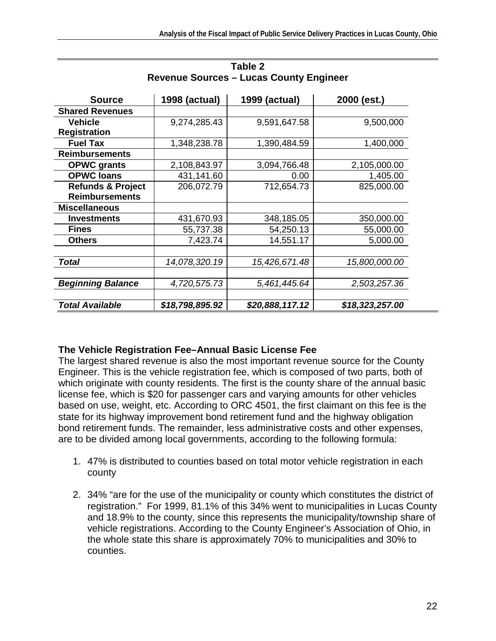| <b>Source</b>                | <b>1998 (actual)</b> | <b>1999 (actual)</b> | 2000 (est.)     |
|------------------------------|----------------------|----------------------|-----------------|
| <b>Shared Revenues</b>       |                      |                      |                 |
| <b>Vehicle</b>               | 9,274,285.43         | 9,591,647.58         | 9,500,000       |
| <b>Registration</b>          |                      |                      |                 |
| <b>Fuel Tax</b>              | 1,348,238.78         | 1,390,484.59         | 1,400,000       |
| <b>Reimbursements</b>        |                      |                      |                 |
| <b>OPWC</b> grants           | 2,108,843.97         | 3,094,766.48         | 2,105,000.00    |
| <b>OPWC loans</b>            | 431,141.60           | 0.00                 | 1,405.00        |
| <b>Refunds &amp; Project</b> | 206,072.79           | 712,654.73           | 825,000.00      |
| <b>Reimbursements</b>        |                      |                      |                 |
| <b>Miscellaneous</b>         |                      |                      |                 |
| <b>Investments</b>           | 431,670.93           | 348,185.05           | 350,000.00      |
| <b>Fines</b>                 | 55,737.38            | 54,250.13            | 55,000.00       |
| <b>Others</b>                | 7,423.74             | 14,551.17            | 5,000.00        |
|                              |                      |                      |                 |
| Total                        | 14,078,320.19        | 15,426,671.48        | 15,800,000.00   |
|                              |                      |                      |                 |
| <b>Beginning Balance</b>     | 4,720,575.73         | 5,461,445.64         | 2,503,257.36    |
|                              |                      |                      |                 |
| Total Available              | \$18,798,895.92      | \$20,888,117.12      | \$18,323,257.00 |

| Table 2                                        |
|------------------------------------------------|
| <b>Revenue Sources – Lucas County Engineer</b> |

#### **The Vehicle Registration Fee–Annual Basic License Fee**

The largest shared revenue is also the most important revenue source for the County Engineer. This is the vehicle registration fee, which is composed of two parts, both of which originate with county residents. The first is the county share of the annual basic license fee, which is \$20 for passenger cars and varying amounts for other vehicles based on use, weight, etc. According to ORC 4501, the first claimant on this fee is the state for its highway improvement bond retirement fund and the highway obligation bond retirement funds. The remainder, less administrative costs and other expenses, are to be divided among local governments, according to the following formula:

- 1. 47% is distributed to counties based on total motor vehicle registration in each county
- 2. 34% "are for the use of the municipality or county which constitutes the district of registration." For 1999, 81.1% of this 34% went to municipalities in Lucas County and 18.9% to the county, since this represents the municipality/township share of vehicle registrations. According to the County Engineer's Association of Ohio, in the whole state this share is approximately 70% to municipalities and 30% to counties.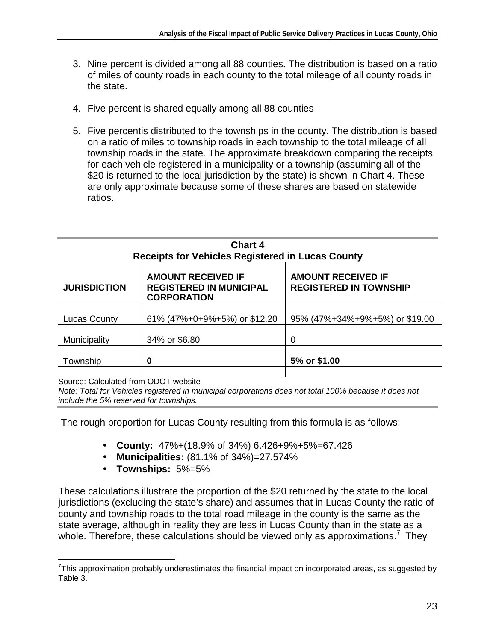- 3. Nine percent is divided among all 88 counties. The distribution is based on a ratio of miles of county roads in each county to the total mileage of all county roads in the state.
- 4. Five percent is shared equally among all 88 counties
- 5. Five percentis distributed to the townships in the county. The distribution is based on a ratio of miles to township roads in each township to the total mileage of all township roads in the state. The approximate breakdown comparing the receipts for each vehicle registered in a municipality or a township (assuming all of the \$20 is returned to the local jurisdiction by the state) is shown in Chart 4. These are only approximate because some of these shares are based on statewide ratios.

| <b>Chart 4</b><br><b>Receipts for Vehicles Registered in Lucas County</b> |                                                                                   |                                                            |  |
|---------------------------------------------------------------------------|-----------------------------------------------------------------------------------|------------------------------------------------------------|--|
| <b>JURISDICTION</b>                                                       | <b>AMOUNT RECEIVED IF</b><br><b>REGISTERED IN MUNICIPAL</b><br><b>CORPORATION</b> | <b>AMOUNT RECEIVED IF</b><br><b>REGISTERED IN TOWNSHIP</b> |  |
| <b>Lucas County</b>                                                       | 61% (47%+0+9%+5%) or \$12.20                                                      | 95% (47%+34%+9%+5%) or \$19.00                             |  |
| Municipality                                                              | 34% or \$6.80                                                                     | 0                                                          |  |
| Township                                                                  | 0                                                                                 | 5% or \$1.00                                               |  |
|                                                                           |                                                                                   |                                                            |  |

Source: Calculated from ODOT website

1

Note: Total for Vehicles registered in municipal corporations does not total 100% because it does not include the 5% reserved for townships.

The rough proportion for Lucas County resulting from this formula is as follows:

- **County:** 47%+(18.9% of 34%) 6.426+9%+5%=67.426
- **Municipalities:** (81.1% of 34%)=27.574%
- **Townships:** 5%=5%

These calculations illustrate the proportion of the \$20 returned by the state to the local jurisdictions (excluding the state's share) and assumes that in Lucas County the ratio of county and township roads to the total road mileage in the county is the same as the state average, although in reality they are less in Lucas County than in the state as a whole. Therefore, these calculations should be viewed only as approximations.<sup>7</sup> They

 $7$ This approximation probably underestimates the financial impact on incorporated areas, as suggested by Table 3.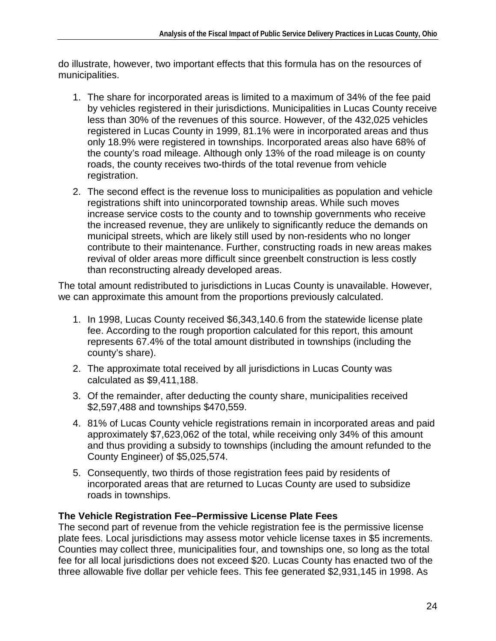do illustrate, however, two important effects that this formula has on the resources of municipalities.

- 1. The share for incorporated areas is limited to a maximum of 34% of the fee paid by vehicles registered in their jurisdictions. Municipalities in Lucas County receive less than 30% of the revenues of this source. However, of the 432,025 vehicles registered in Lucas County in 1999, 81.1% were in incorporated areas and thus only 18.9% were registered in townships. Incorporated areas also have 68% of the county's road mileage. Although only 13% of the road mileage is on county roads, the county receives two-thirds of the total revenue from vehicle registration.
- 2. The second effect is the revenue loss to municipalities as population and vehicle registrations shift into unincorporated township areas. While such moves increase service costs to the county and to township governments who receive the increased revenue, they are unlikely to significantly reduce the demands on municipal streets, which are likely still used by non-residents who no longer contribute to their maintenance. Further, constructing roads in new areas makes revival of older areas more difficult since greenbelt construction is less costly than reconstructing already developed areas.

The total amount redistributed to jurisdictions in Lucas County is unavailable. However, we can approximate this amount from the proportions previously calculated.

- 1. In 1998, Lucas County received \$6,343,140.6 from the statewide license plate fee. According to the rough proportion calculated for this report, this amount represents 67.4% of the total amount distributed in townships (including the county's share).
- 2. The approximate total received by all jurisdictions in Lucas County was calculated as \$9,411,188.
- 3. Of the remainder, after deducting the county share, municipalities received \$2,597,488 and townships \$470,559.
- 4. 81% of Lucas County vehicle registrations remain in incorporated areas and paid approximately \$7,623,062 of the total, while receiving only 34% of this amount and thus providing a subsidy to townships (including the amount refunded to the County Engineer) of \$5,025,574.
- 5. Consequently, two thirds of those registration fees paid by residents of incorporated areas that are returned to Lucas County are used to subsidize roads in townships.

#### **The Vehicle Registration Fee–Permissive License Plate Fees**

The second part of revenue from the vehicle registration fee is the permissive license plate fees. Local jurisdictions may assess motor vehicle license taxes in \$5 increments. Counties may collect three, municipalities four, and townships one, so long as the total fee for all local jurisdictions does not exceed \$20. Lucas County has enacted two of the three allowable five dollar per vehicle fees. This fee generated \$2,931,145 in 1998. As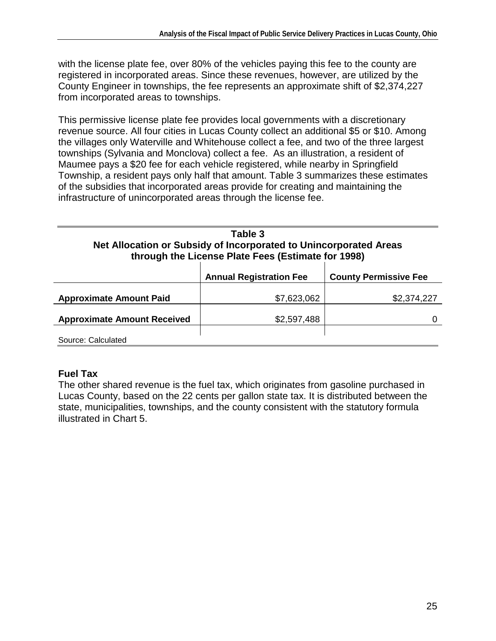with the license plate fee, over 80% of the vehicles paying this fee to the county are registered in incorporated areas. Since these revenues, however, are utilized by the County Engineer in townships, the fee represents an approximate shift of \$2,374,227 from incorporated areas to townships.

This permissive license plate fee provides local governments with a discretionary revenue source. All four cities in Lucas County collect an additional \$5 or \$10. Among the villages only Waterville and Whitehouse collect a fee, and two of the three largest townships (Sylvania and Monclova) collect a fee. As an illustration, a resident of Maumee pays a \$20 fee for each vehicle registered, while nearby in Springfield Township, a resident pays only half that amount. Table 3 summarizes these estimates of the subsidies that incorporated areas provide for creating and maintaining the infrastructure of unincorporated areas through the license fee.

| Table 3<br>Net Allocation or Subsidy of Incorporated to Unincorporated Areas<br>through the License Plate Fees (Estimate for 1998) |                                |                              |
|------------------------------------------------------------------------------------------------------------------------------------|--------------------------------|------------------------------|
|                                                                                                                                    | <b>Annual Registration Fee</b> | <b>County Permissive Fee</b> |
| <b>Approximate Amount Paid</b>                                                                                                     | \$7,623,062                    | \$2,374,227                  |
| <b>Approximate Amount Received</b>                                                                                                 | \$2,597,488                    |                              |
| Source: Calculated                                                                                                                 |                                |                              |

#### **Fuel Tax**

The other shared revenue is the fuel tax, which originates from gasoline purchased in Lucas County, based on the 22 cents per gallon state tax. It is distributed between the state, municipalities, townships, and the county consistent with the statutory formula illustrated in Chart 5.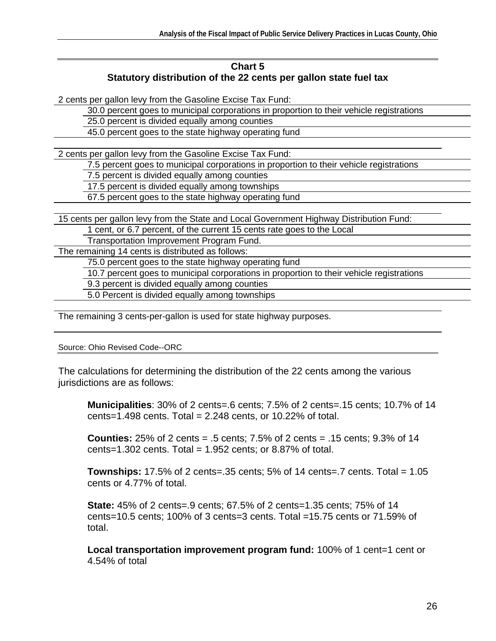#### **Chart 5 Statutory distribution of the 22 cents per gallon state fuel tax**

2 cents per gallon levy from the Gasoline Excise Tax Fund:

30.0 percent goes to municipal corporations in proportion to their vehicle registrations

25.0 percent is divided equally among counties

45.0 percent goes to the state highway operating fund

2 cents per gallon levy from the Gasoline Excise Tax Fund:

7.5 percent goes to municipal corporations in proportion to their vehicle registrations

7.5 percent is divided equally among counties

17.5 percent is divided equally among townships

67.5 percent goes to the state highway operating fund

15 cents per gallon levy from the State and Local Government Highway Distribution Fund:

1 cent, or 6.7 percent, of the current 15 cents rate goes to the Local

Transportation Improvement Program Fund.

The remaining 14 cents is distributed as follows:

75.0 percent goes to the state highway operating fund

10.7 percent goes to municipal corporations in proportion to their vehicle registrations

9.3 percent is divided equally among counties

5.0 Percent is divided equally among townships

The remaining 3 cents-per-gallon is used for state highway purposes.

Source: Ohio Revised Code--ORC

The calculations for determining the distribution of the 22 cents among the various jurisdictions are as follows:

**Municipalities**: 30% of 2 cents=.6 cents; 7.5% of 2 cents=.15 cents; 10.7% of 14 cents=1.498 cents. Total =  $2.248$  cents, or 10.22% of total.

**Counties:** 25% of 2 cents = .5 cents; 7.5% of 2 cents = .15 cents; 9.3% of 14 cents=1.302 cents. Total =  $1.952$  cents; or 8.87% of total.

**Townships:** 17.5% of 2 cents=.35 cents; 5% of 14 cents=.7 cents. Total = 1.05 cents or 4.77% of total.

**State:** 45% of 2 cents=.9 cents; 67.5% of 2 cents=1.35 cents; 75% of 14 cents=10.5 cents; 100% of 3 cents=3 cents. Total =15.75 cents or 71.59% of total.

**Local transportation improvement program fund:** 100% of 1 cent=1 cent or 4.54% of total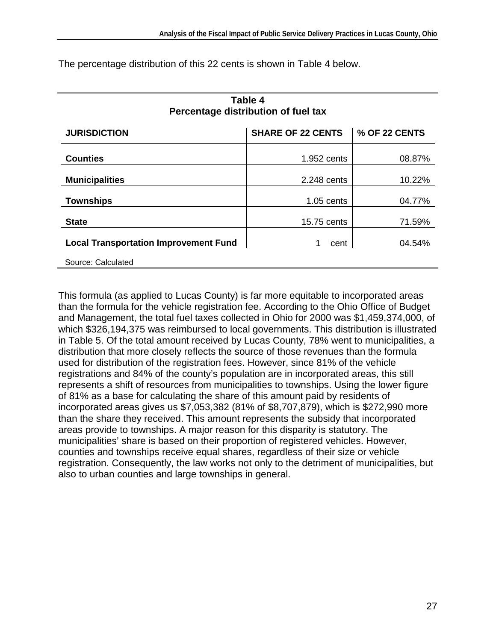| Percentage distribution of fuel tax          |                          |               |  |
|----------------------------------------------|--------------------------|---------------|--|
| <b>JURISDICTION</b>                          | <b>SHARE OF 22 CENTS</b> | % OF 22 CENTS |  |
| <b>Counties</b>                              | 1.952 cents              | 08.87%        |  |
| <b>Municipalities</b>                        | 2.248 cents              | 10.22%        |  |
| <b>Townships</b>                             | $1.05$ cents             | 04.77%        |  |
| <b>State</b>                                 | 15.75 cents              | 71.59%        |  |
| <b>Local Transportation Improvement Fund</b> | cent                     | 04.54%        |  |
| Source: Calculated                           |                          |               |  |

**Table 4** 

The percentage distribution of this 22 cents is shown in Table 4 below.

This formula (as applied to Lucas County) is far more equitable to incorporated areas than the formula for the vehicle registration fee. According to the Ohio Office of Budget and Management, the total fuel taxes collected in Ohio for 2000 was \$1,459,374,000, of which \$326,194,375 was reimbursed to local governments. This distribution is illustrated in Table 5. Of the total amount received by Lucas County, 78% went to municipalities, a distribution that more closely reflects the source of those revenues than the formula used for distribution of the registration fees. However, since 81% of the vehicle registrations and 84% of the county's population are in incorporated areas, this still represents a shift of resources from municipalities to townships. Using the lower figure of 81% as a base for calculating the share of this amount paid by residents of incorporated areas gives us \$7,053,382 (81% of \$8,707,879), which is \$272,990 more than the share they received. This amount represents the subsidy that incorporated areas provide to townships. A major reason for this disparity is statutory. The municipalities' share is based on their proportion of registered vehicles. However, counties and townships receive equal shares, regardless of their size or vehicle registration. Consequently, the law works not only to the detriment of municipalities, but also to urban counties and large townships in general.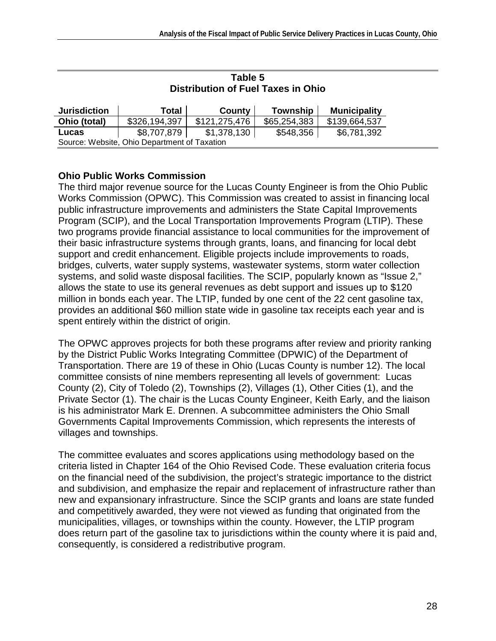|                     |                                              | Distribution of Fuel Taxes in Ohio |              |                     |
|---------------------|----------------------------------------------|------------------------------------|--------------|---------------------|
| <b>Jurisdiction</b> | Total                                        | County                             | Township     | <b>Municipality</b> |
| Ohio (total)        | \$326,194,397                                | \$121,275,476                      | \$65,254,383 | \$139,664,537       |
| Lucas               | \$8,707,879                                  | \$1,378,130                        | \$548,356    | \$6,781,392         |
|                     | Source: Website, Ohio Department of Taxation |                                    |              |                     |

#### **Table 5 Distribution of Fuel Taxes in Ohio**

#### **Ohio Public Works Commission**

The third major revenue source for the Lucas County Engineer is from the Ohio Public Works Commission (OPWC). This Commission was created to assist in financing local public infrastructure improvements and administers the State Capital Improvements Program (SCIP), and the Local Transportation Improvements Program (LTIP). These two programs provide financial assistance to local communities for the improvement of their basic infrastructure systems through grants, loans, and financing for local debt support and credit enhancement. Eligible projects include improvements to roads, bridges, culverts, water supply systems, wastewater systems, storm water collection systems, and solid waste disposal facilities. The SCIP, popularly known as "Issue 2," allows the state to use its general revenues as debt support and issues up to \$120 million in bonds each year. The LTIP, funded by one cent of the 22 cent gasoline tax, provides an additional \$60 million state wide in gasoline tax receipts each year and is spent entirely within the district of origin.

The OPWC approves projects for both these programs after review and priority ranking by the District Public Works Integrating Committee (DPWIC) of the Department of Transportation. There are 19 of these in Ohio (Lucas County is number 12). The local committee consists of nine members representing all levels of government: Lucas County (2), City of Toledo (2), Townships (2), Villages (1), Other Cities (1), and the Private Sector (1). The chair is the Lucas County Engineer, Keith Early, and the liaison is his administrator Mark E. Drennen. A subcommittee administers the Ohio Small Governments Capital Improvements Commission, which represents the interests of villages and townships.

The committee evaluates and scores applications using methodology based on the criteria listed in Chapter 164 of the Ohio Revised Code. These evaluation criteria focus on the financial need of the subdivision, the project's strategic importance to the district and subdivision, and emphasize the repair and replacement of infrastructure rather than new and expansionary infrastructure. Since the SCIP grants and loans are state funded and competitively awarded, they were not viewed as funding that originated from the municipalities, villages, or townships within the county. However, the LTIP program does return part of the gasoline tax to jurisdictions within the county where it is paid and, consequently, is considered a redistributive program.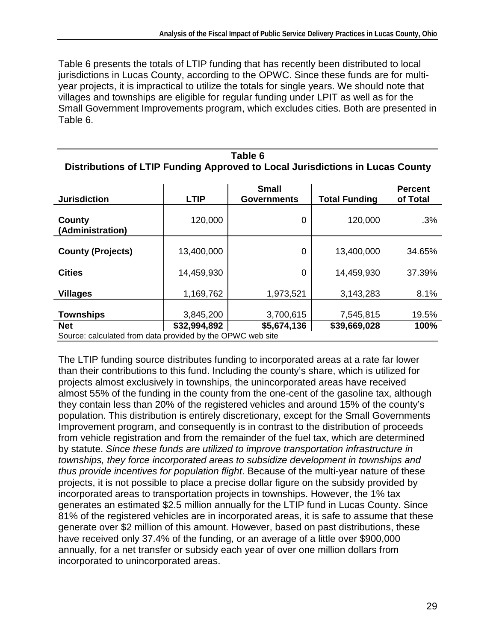Table 6 presents the totals of LTIP funding that has recently been distributed to local jurisdictions in Lucas County, according to the OPWC. Since these funds are for multiyear projects, it is impractical to utilize the totals for single years. We should note that villages and townships are eligible for regular funding under LPIT as well as for the Small Government Improvements program, which excludes cities. Both are presented in Table 6.

| Table 6                                                                       |
|-------------------------------------------------------------------------------|
| Distributions of LTIP Funding Approved to Local Jurisdictions in Lucas County |

| <b>Jurisdiction</b>                                        | <b>LTIP</b>  | <b>Small</b><br><b>Governments</b> | <b>Total Funding</b> | <b>Percent</b><br>of Total |
|------------------------------------------------------------|--------------|------------------------------------|----------------------|----------------------------|
| County<br>(Administration)                                 | 120,000      | 0                                  | 120,000              | .3%                        |
| <b>County (Projects)</b>                                   | 13,400,000   | 0                                  | 13,400,000           | 34.65%                     |
| <b>Cities</b>                                              | 14,459,930   | 0                                  | 14,459,930           | 37.39%                     |
| <b>Villages</b>                                            | 1,169,762    | 1,973,521                          | 3,143,283            | 8.1%                       |
| <b>Townships</b>                                           | 3,845,200    | 3,700,615                          | 7,545,815            | 19.5%                      |
| <b>Net</b>                                                 | \$32,994,892 | \$5,674,136                        | \$39,669,028         | 100%                       |
| Source: calculated from data provided by the OPWC web site |              |                                    |                      |                            |

The LTIP funding source distributes funding to incorporated areas at a rate far lower than their contributions to this fund. Including the county's share, which is utilized for projects almost exclusively in townships, the unincorporated areas have received almost 55% of the funding in the county from the one-cent of the gasoline tax, although they contain less than 20% of the registered vehicles and around 15% of the county's population. This distribution is entirely discretionary, except for the Small Governments Improvement program, and consequently is in contrast to the distribution of proceeds from vehicle registration and from the remainder of the fuel tax, which are determined by statute. Since these funds are utilized to improve transportation infrastructure in townships, they force incorporated areas to subsidize development in townships and thus provide incentives for population flight. Because of the multi-year nature of these projects, it is not possible to place a precise dollar figure on the subsidy provided by incorporated areas to transportation projects in townships. However, the 1% tax generates an estimated \$2.5 million annually for the LTIP fund in Lucas County. Since 81% of the registered vehicles are in incorporated areas, it is safe to assume that these generate over \$2 million of this amount. However, based on past distributions, these have received only 37.4% of the funding, or an average of a little over \$900,000 annually, for a net transfer or subsidy each year of over one million dollars from incorporated to unincorporated areas.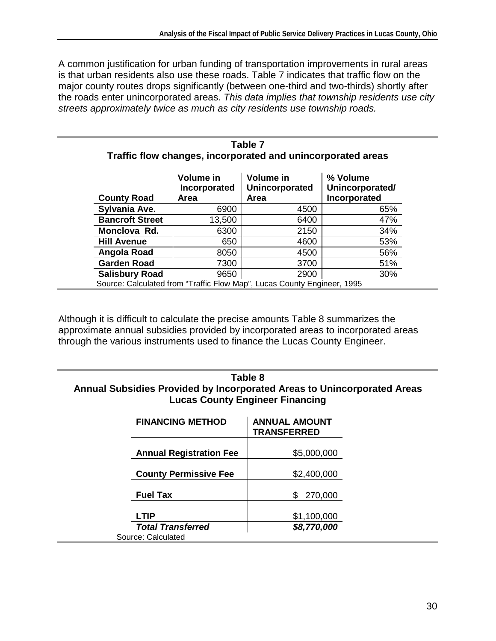A common justification for urban funding of transportation improvements in rural areas is that urban residents also use these roads. Table 7 indicates that traffic flow on the major county routes drops significantly (between one-third and two-thirds) shortly after the roads enter unincorporated areas. This data implies that township residents use city streets approximately twice as much as city residents use township roads.

| <b>County Road</b>     | Volume in<br>Incorporated<br>Area | Volume in<br><b>Unincorporated</b><br><b>Area</b> | % Volume<br>Unincorporated/<br>Incorporated |
|------------------------|-----------------------------------|---------------------------------------------------|---------------------------------------------|
| Sylvania Ave.          | 6900                              | 4500                                              | 65%                                         |
| <b>Bancroft Street</b> | 13,500                            | 6400                                              | 47%                                         |
| Monclova Rd.           | 6300                              | 2150                                              | 34%                                         |
| <b>Hill Avenue</b>     | 650                               | 4600                                              | 53%                                         |
| Angola Road            | 8050                              | 4500                                              | 56%                                         |
| <b>Garden Road</b>     | 7300                              | 3700                                              | 51%                                         |
| <b>Salisbury Road</b>  | 9650                              | 2900                                              | 30%                                         |

| Table 7                                                     |  |
|-------------------------------------------------------------|--|
| Traffic flow changes, incorporated and unincorporated areas |  |

Although it is difficult to calculate the precise amounts Table 8 summarizes the approximate annual subsidies provided by incorporated areas to incorporated areas through the various instruments used to finance the Lucas County Engineer.

#### **Table 8 Annual Subsidies Provided by Incorporated Areas to Unincorporated Areas Lucas County Engineer Financing**

| <b>FINANCING METHOD</b>                        | <b>ANNUAL AMOUNT</b><br><b>TRANSFERRED</b> |
|------------------------------------------------|--------------------------------------------|
| <b>Annual Registration Fee</b>                 | \$5,000,000                                |
| <b>County Permissive Fee</b>                   | \$2,400,000                                |
| <b>Fuel Tax</b>                                | 270,000<br>S                               |
| <b>LTIP</b>                                    | \$1,100,000                                |
| <b>Total Transferred</b><br>Source: Calculated | \$8,770,000                                |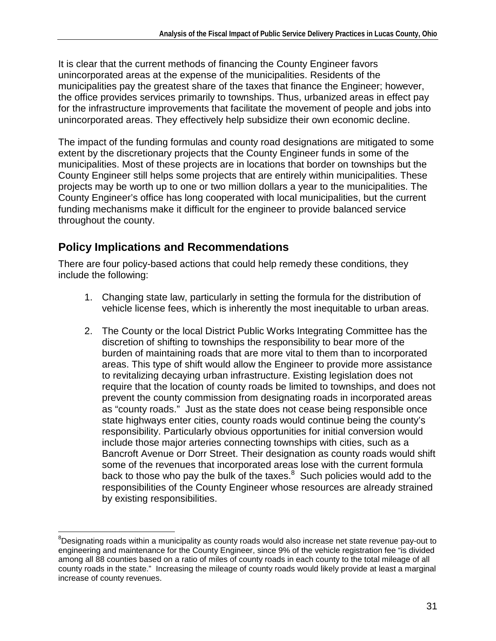It is clear that the current methods of financing the County Engineer favors unincorporated areas at the expense of the municipalities. Residents of the municipalities pay the greatest share of the taxes that finance the Engineer; however, the office provides services primarily to townships. Thus, urbanized areas in effect pay for the infrastructure improvements that facilitate the movement of people and jobs into unincorporated areas. They effectively help subsidize their own economic decline.

The impact of the funding formulas and county road designations are mitigated to some extent by the discretionary projects that the County Engineer funds in some of the municipalities. Most of these projects are in locations that border on townships but the County Engineer still helps some projects that are entirely within municipalities. These projects may be worth up to one or two million dollars a year to the municipalities. The County Engineer's office has long cooperated with local municipalities, but the current funding mechanisms make it difficult for the engineer to provide balanced service throughout the county.

## **Policy Implications and Recommendations**

There are four policy-based actions that could help remedy these conditions, they include the following:

- 1. Changing state law, particularly in setting the formula for the distribution of vehicle license fees, which is inherently the most inequitable to urban areas.
- 2. The County or the local District Public Works Integrating Committee has the discretion of shifting to townships the responsibility to bear more of the burden of maintaining roads that are more vital to them than to incorporated areas. This type of shift would allow the Engineer to provide more assistance to revitalizing decaying urban infrastructure. Existing legislation does not require that the location of county roads be limited to townships, and does not prevent the county commission from designating roads in incorporated areas as "county roads." Just as the state does not cease being responsible once state highways enter cities, county roads would continue being the county's responsibility. Particularly obvious opportunities for initial conversion would include those major arteries connecting townships with cities, such as a Bancroft Avenue or Dorr Street. Their designation as county roads would shift some of the revenues that incorporated areas lose with the current formula back to those who pay the bulk of the taxes. $8\,$  Such policies would add to the responsibilities of the County Engineer whose resources are already strained by existing responsibilities.

<sup>1</sup> <sup>8</sup>Designating roads within a municipality as county roads would also increase net state revenue pay-out to engineering and maintenance for the County Engineer, since 9% of the vehicle registration fee "is divided among all 88 counties based on a ratio of miles of county roads in each county to the total mileage of all county roads in the state." Increasing the mileage of county roads would likely provide at least a marginal increase of county revenues.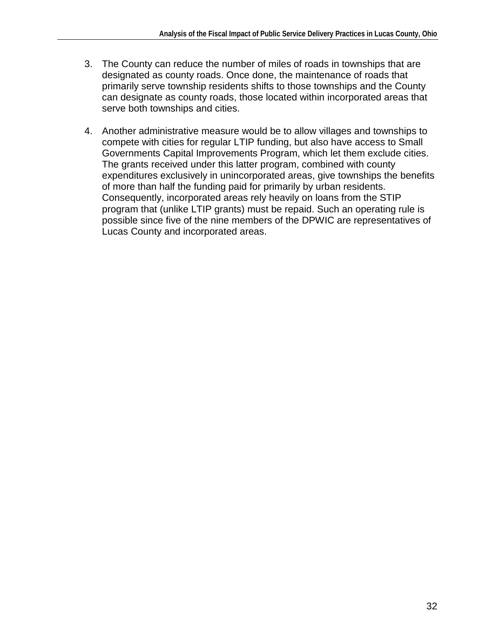- 3. The County can reduce the number of miles of roads in townships that are designated as county roads. Once done, the maintenance of roads that primarily serve township residents shifts to those townships and the County can designate as county roads, those located within incorporated areas that serve both townships and cities.
- 4. Another administrative measure would be to allow villages and townships to compete with cities for regular LTIP funding, but also have access to Small Governments Capital Improvements Program, which let them exclude cities. The grants received under this latter program, combined with county expenditures exclusively in unincorporated areas, give townships the benefits of more than half the funding paid for primarily by urban residents. Consequently, incorporated areas rely heavily on loans from the STIP program that (unlike LTIP grants) must be repaid. Such an operating rule is possible since five of the nine members of the DPWIC are representatives of Lucas County and incorporated areas.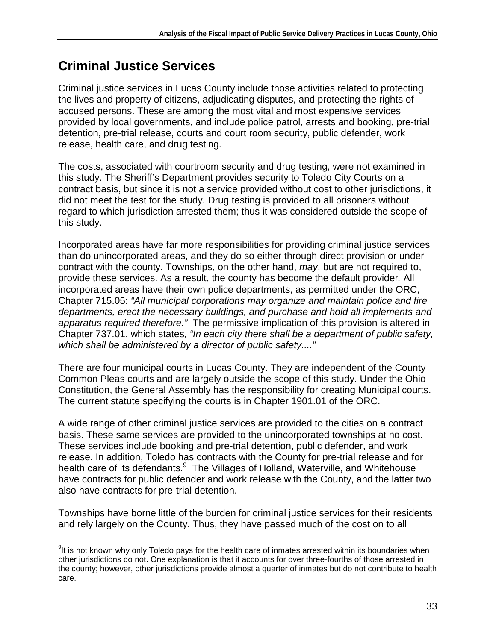# **Criminal Justice Services**

Criminal justice services in Lucas County include those activities related to protecting the lives and property of citizens, adjudicating disputes, and protecting the rights of accused persons. These are among the most vital and most expensive services provided by local governments, and include police patrol, arrests and booking, pre-trial detention, pre-trial release, courts and court room security, public defender, work release, health care, and drug testing.

The costs, associated with courtroom security and drug testing, were not examined in this study. The Sheriff's Department provides security to Toledo City Courts on a contract basis, but since it is not a service provided without cost to other jurisdictions, it did not meet the test for the study. Drug testing is provided to all prisoners without regard to which jurisdiction arrested them; thus it was considered outside the scope of this study.

Incorporated areas have far more responsibilities for providing criminal justice services than do unincorporated areas, and they do so either through direct provision or under contract with the county. Townships, on the other hand, may, but are not required to, provide these services. As a result, the county has become the default provider. All incorporated areas have their own police departments, as permitted under the ORC, Chapter 715.05: "All municipal corporations may organize and maintain police and fire departments, erect the necessary buildings, and purchase and hold all implements and apparatus required therefore." The permissive implication of this provision is altered in Chapter 737.01, which states, "In each city there shall be a department of public safety, which shall be administered by a director of public safety...."

There are four municipal courts in Lucas County. They are independent of the County Common Pleas courts and are largely outside the scope of this study. Under the Ohio Constitution, the General Assembly has the responsibility for creating Municipal courts. The current statute specifying the courts is in Chapter 1901.01 of the ORC.

A wide range of other criminal justice services are provided to the cities on a contract basis. These same services are provided to the unincorporated townships at no cost. These services include booking and pre-trial detention, public defender, and work release. In addition, Toledo has contracts with the County for pre-trial release and for health care of its defendants.<sup>9</sup> The Villages of Holland, Waterville, and Whitehouse have contracts for public defender and work release with the County, and the latter two also have contracts for pre-trial detention.

Townships have borne little of the burden for criminal justice services for their residents and rely largely on the County. Thus, they have passed much of the cost on to all

<sup>1</sup>  $9$ It is not known why only Toledo pays for the health care of inmates arrested within its boundaries when other jurisdictions do not. One explanation is that it accounts for over three-fourths of those arrested in the county; however, other jurisdictions provide almost a quarter of inmates but do not contribute to health care.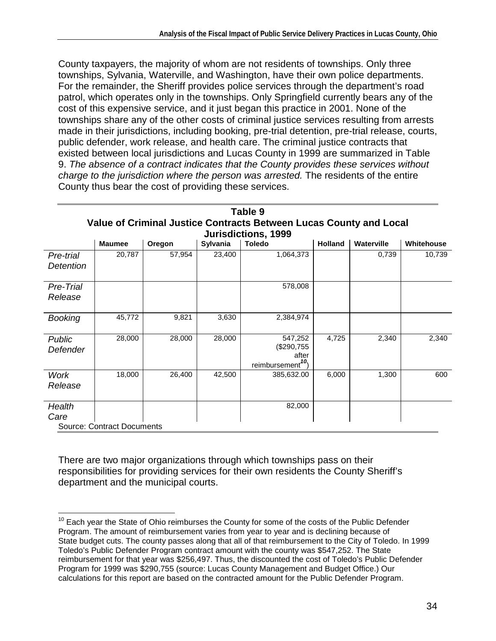County taxpayers, the majority of whom are not residents of townships. Only three townships, Sylvania, Waterville, and Washington, have their own police departments. For the remainder, the Sheriff provides police services through the department's road patrol, which operates only in the townships. Only Springfield currently bears any of the cost of this expensive service, and it just began this practice in 2001. None of the townships share any of the other costs of criminal justice services resulting from arrests made in their jurisdictions, including booking, pre-trial detention, pre-trial release, courts, public defender, work release, and health care. The criminal justice contracts that existed between local jurisdictions and Lucas County in 1999 are summarized in Table 9. The absence of a contract indicates that the County provides these services without charge to the jurisdiction where the person was arrested. The residents of the entire County thus bear the cost of providing these services.

|                        | Table 9<br>Value of Criminal Justice Contracts Between Lucas County and Local |        |          |                                                                 |                |            |            |  |  |
|------------------------|-------------------------------------------------------------------------------|--------|----------|-----------------------------------------------------------------|----------------|------------|------------|--|--|
|                        | Jurisdictions, 1999                                                           |        |          |                                                                 |                |            |            |  |  |
|                        | <b>Maumee</b>                                                                 | Oregon | Sylvania | <b>Toledo</b>                                                   | <b>Holland</b> | Waterville | Whitehouse |  |  |
| Pre-trial<br>Detention | 20,787                                                                        | 57,954 | 23,400   | 1,064,373                                                       |                | 0,739      | 10,739     |  |  |
| Pre-Trial<br>Release   |                                                                               |        |          | 578,008                                                         |                |            |            |  |  |
| <b>Booking</b>         | 45,772                                                                        | 9,821  | 3,630    | 2,384,974                                                       |                |            |            |  |  |
| Public<br>Defender     | 28,000                                                                        | 28,000 | 28,000   | 547,252<br>(\$290,755<br>after<br>reimbursement <sup>10</sup> ) | 4,725          | 2,340      | 2,340      |  |  |
| <b>Work</b><br>Release | 18,000                                                                        | 26,400 | 42,500   | 385,632.00                                                      | 6,000          | 1,300      | 600        |  |  |
| Health<br>Care         | <b>Source: Contract Documents</b>                                             |        |          | 82,000                                                          |                |            |            |  |  |

There are two major organizations through which townships pass on their responsibilities for providing services for their own residents the County Sheriff's department and the municipal courts.

<sup>1</sup>  $10$  Each year the State of Ohio reimburses the County for some of the costs of the Public Defender Program. The amount of reimbursement varies from year to year and is declining because of State budget cuts. The county passes along that all of that reimbursement to the City of Toledo. In 1999 Toledo's Public Defender Program contract amount with the county was \$547,252. The State reimbursement for that year was \$256,497. Thus, the discounted the cost of Toledo's Public Defender Program for 1999 was \$290,755 (source: Lucas County Management and Budget Office.) Our calculations for this report are based on the contracted amount for the Public Defender Program.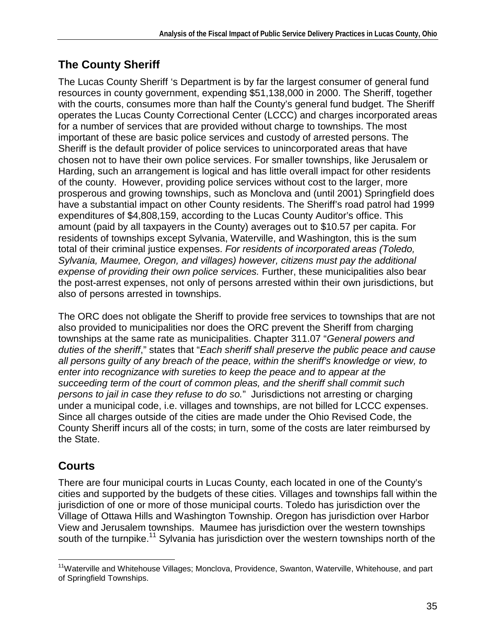## **The County Sheriff**

The Lucas County Sheriff 's Department is by far the largest consumer of general fund resources in county government, expending \$51,138,000 in 2000. The Sheriff, together with the courts, consumes more than half the County's general fund budget. The Sheriff operates the Lucas County Correctional Center (LCCC) and charges incorporated areas for a number of services that are provided without charge to townships. The most important of these are basic police services and custody of arrested persons. The Sheriff is the default provider of police services to unincorporated areas that have chosen not to have their own police services. For smaller townships, like Jerusalem or Harding, such an arrangement is logical and has little overall impact for other residents of the county. However, providing police services without cost to the larger, more prosperous and growing townships, such as Monclova and (until 2001) Springfield does have a substantial impact on other County residents. The Sheriff's road patrol had 1999 expenditures of \$4,808,159, according to the Lucas County Auditor's office. This amount (paid by all taxpayers in the County) averages out to \$10.57 per capita. For residents of townships except Sylvania, Waterville, and Washington, this is the sum total of their criminal justice expenses. For residents of incorporated areas (Toledo, Sylvania, Maumee, Oregon, and villages) however, citizens must pay the additional expense of providing their own police services. Further, these municipalities also bear the post-arrest expenses, not only of persons arrested within their own jurisdictions, but also of persons arrested in townships.

The ORC does not obligate the Sheriff to provide free services to townships that are not also provided to municipalities nor does the ORC prevent the Sheriff from charging townships at the same rate as municipalities. Chapter 311.07 "General powers and duties of the sheriff," states that "Each sheriff shall preserve the public peace and cause all persons guilty of any breach of the peace, within the sheriff's knowledge or view, to enter into recognizance with sureties to keep the peace and to appear at the succeeding term of the court of common pleas, and the sheriff shall commit such persons to jail in case they refuse to do so." Jurisdictions not arresting or charging under a municipal code, i.e. villages and townships, are not billed for LCCC expenses. Since all charges outside of the cities are made under the Ohio Revised Code, the County Sheriff incurs all of the costs; in turn, some of the costs are later reimbursed by the State.

## **Courts**

There are four municipal courts in Lucas County, each located in one of the County's cities and supported by the budgets of these cities. Villages and townships fall within the jurisdiction of one or more of those municipal courts. Toledo has jurisdiction over the Village of Ottawa Hills and Washington Township. Oregon has jurisdiction over Harbor View and Jerusalem townships. Maumee has jurisdiction over the western townships south of the turnpike.<sup>11</sup> Sylvania has jurisdiction over the western townships north of the

<sup>1</sup> <sup>11</sup>Waterville and Whitehouse Villages; Monclova, Providence, Swanton, Waterville, Whitehouse, and part of Springfield Townships.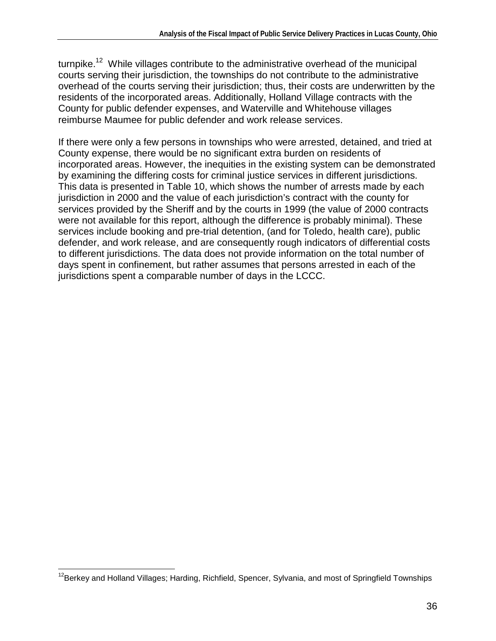turnpike.<sup>12</sup> While villages contribute to the administrative overhead of the municipal courts serving their jurisdiction, the townships do not contribute to the administrative overhead of the courts serving their jurisdiction; thus, their costs are underwritten by the residents of the incorporated areas. Additionally, Holland Village contracts with the County for public defender expenses, and Waterville and Whitehouse villages reimburse Maumee for public defender and work release services.

If there were only a few persons in townships who were arrested, detained, and tried at County expense, there would be no significant extra burden on residents of incorporated areas. However, the inequities in the existing system can be demonstrated by examining the differing costs for criminal justice services in different jurisdictions. This data is presented in Table 10, which shows the number of arrests made by each jurisdiction in 2000 and the value of each jurisdiction's contract with the county for services provided by the Sheriff and by the courts in 1999 (the value of 2000 contracts were not available for this report, although the difference is probably minimal). These services include booking and pre-trial detention, (and for Toledo, health care), public defender, and work release, and are consequently rough indicators of differential costs to different jurisdictions. The data does not provide information on the total number of days spent in confinement, but rather assumes that persons arrested in each of the jurisdictions spent a comparable number of days in the LCCC.

<sup>1</sup> <sup>12</sup>Berkey and Holland Villages; Harding, Richfield, Spencer, Sylvania, and most of Springfield Townships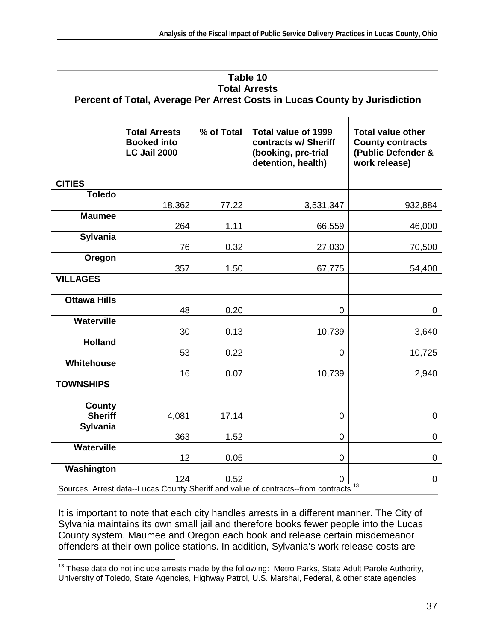|                                                                            |  | Table 10             |  |  |  |
|----------------------------------------------------------------------------|--|----------------------|--|--|--|
|                                                                            |  | <b>Total Arrests</b> |  |  |  |
| Percent of Total, Average Per Arrest Costs in Lucas County by Jurisdiction |  |                      |  |  |  |
|                                                                            |  |                      |  |  |  |

|                                 | <b>Total Arrests</b><br><b>Booked into</b><br><b>LC Jail 2000</b> | % of Total | <b>Total value of 1999</b><br>contracts w/ Sheriff<br>(booking, pre-trial<br>detention, health)  | <b>Total value other</b><br><b>County contracts</b><br>(Public Defender &<br>work release) |
|---------------------------------|-------------------------------------------------------------------|------------|--------------------------------------------------------------------------------------------------|--------------------------------------------------------------------------------------------|
| <b>CITIES</b>                   |                                                                   |            |                                                                                                  |                                                                                            |
| <b>Toledo</b>                   | 18,362                                                            | 77.22      | 3,531,347                                                                                        | 932,884                                                                                    |
| <b>Maumee</b>                   | 264                                                               | 1.11       | 66,559                                                                                           | 46,000                                                                                     |
| Sylvania                        | 76                                                                | 0.32       | 27,030                                                                                           | 70,500                                                                                     |
| Oregon                          | 357                                                               | 1.50       | 67,775                                                                                           | 54,400                                                                                     |
| <b>VILLAGES</b>                 |                                                                   |            |                                                                                                  |                                                                                            |
| <b>Ottawa Hills</b>             | 48                                                                | 0.20       | 0                                                                                                | 0                                                                                          |
| <b>Waterville</b>               | 30                                                                | 0.13       | 10,739                                                                                           | 3,640                                                                                      |
| <b>Holland</b>                  | 53                                                                | 0.22       | $\overline{0}$                                                                                   | 10,725                                                                                     |
| Whitehouse                      | 16                                                                | 0.07       | 10,739                                                                                           | 2,940                                                                                      |
| <b>TOWNSHIPS</b>                |                                                                   |            |                                                                                                  |                                                                                            |
| <b>County</b><br><b>Sheriff</b> | 4,081                                                             | 17.14      | 0                                                                                                | 0                                                                                          |
| Sylvania                        | 363                                                               | 1.52       | 0                                                                                                | 0                                                                                          |
| <b>Waterville</b>               | 12                                                                | 0.05       | $\overline{0}$                                                                                   | 0                                                                                          |
| Washington                      | 124                                                               | 0.52       | 0                                                                                                | $\mathbf 0$                                                                                |
|                                 |                                                                   |            | Sources: Arrest data--Lucas County Sheriff and value of contracts--from contracts. <sup>13</sup> |                                                                                            |

It is important to note that each city handles arrests in a different manner. The City of Sylvania maintains its own small jail and therefore books fewer people into the Lucas County system. Maumee and Oregon each book and release certain misdemeanor offenders at their own police stations. In addition, Sylvania's work release costs are

<sup>1</sup>  $13$  These data do not include arrests made by the following: Metro Parks, State Adult Parole Authority, University of Toledo, State Agencies, Highway Patrol, U.S. Marshal, Federal, & other state agencies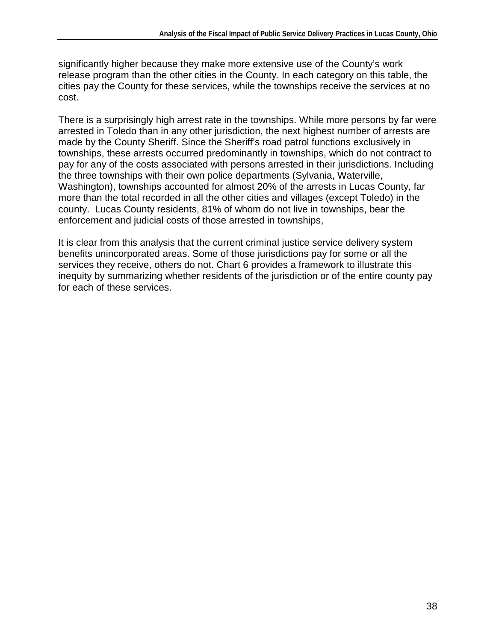significantly higher because they make more extensive use of the County's work release program than the other cities in the County. In each category on this table, the cities pay the County for these services, while the townships receive the services at no cost.

There is a surprisingly high arrest rate in the townships. While more persons by far were arrested in Toledo than in any other jurisdiction, the next highest number of arrests are made by the County Sheriff. Since the Sheriff's road patrol functions exclusively in townships, these arrests occurred predominantly in townships, which do not contract to pay for any of the costs associated with persons arrested in their jurisdictions. Including the three townships with their own police departments (Sylvania, Waterville, Washington), townships accounted for almost 20% of the arrests in Lucas County, far more than the total recorded in all the other cities and villages (except Toledo) in the county. Lucas County residents, 81% of whom do not live in townships, bear the enforcement and judicial costs of those arrested in townships,

It is clear from this analysis that the current criminal justice service delivery system benefits unincorporated areas. Some of those jurisdictions pay for some or all the services they receive, others do not. Chart 6 provides a framework to illustrate this inequity by summarizing whether residents of the jurisdiction or of the entire county pay for each of these services.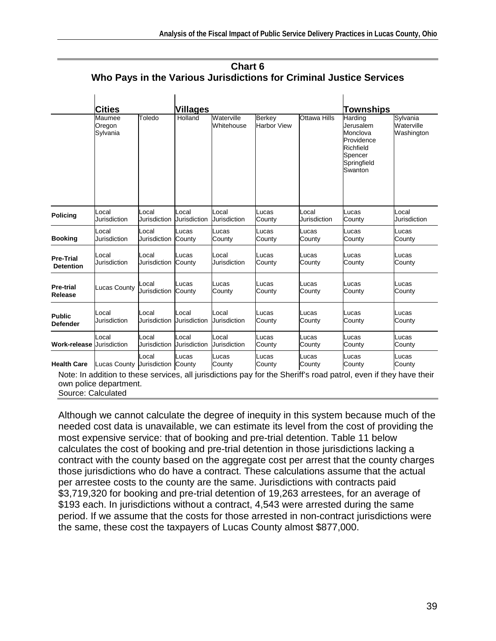| Chart 6                                                             |
|---------------------------------------------------------------------|
| Who Pays in the Various Jurisdictions for Criminal Justice Services |

|                    | Cities                           |              | <b>Villages</b>     |                          |                                     | <b>Townships</b>    |                                                                                                  |                                      |
|--------------------|----------------------------------|--------------|---------------------|--------------------------|-------------------------------------|---------------------|--------------------------------------------------------------------------------------------------|--------------------------------------|
|                    | Maumee<br>Oregon<br>Sylvania     | Toledo       | Holland             | Waterville<br>Whitehouse | <b>Berkey</b><br><b>Harbor View</b> | <b>Ottawa Hills</b> | Harding<br>Jerusalem<br>Monclova<br>Providence<br>Richfield<br>Spencer<br>Springfield<br>Swanton | Sylvania<br>Waterville<br>Washington |
| <b>Policing</b>    | _ocal                            | Local        | Local               | Local                    | Lucas                               | Local               | Lucas                                                                                            | Local                                |
|                    | Jurisdiction                     | Jurisdiction | <b>Jurisdiction</b> | Jurisdiction             | County                              | Jurisdiction        | County                                                                                           | Jurisdiction                         |
| <b>Booking</b>     | _ocal                            | Local        | Lucas               | Lucas                    | Lucas                               | Lucas               | Lucas                                                                                            | Lucas                                |
|                    | Jurisdiction                     | Jurisdiction | County              | County                   | County                              | County              | County                                                                                           | County                               |
| <b>Pre-Trial</b>   | Local                            | Local        | Lucas               | Local                    | Lucas                               | Lucas               | Lucas                                                                                            | Lucas                                |
| <b>Detention</b>   | Jurisdiction                     | Jurisdiction | County              | Jurisdiction             | County                              | County              | County                                                                                           | County                               |
| <b>Pre-trial</b>   | Lucas County                     | Local        | Lucas               | Lucas                    | Lucas                               | Lucas               | Lucas                                                                                            | Lucas                                |
| Release            |                                  | Jurisdiction | County              | County                   | County                              | County              | County                                                                                           | County                               |
| <b>Public</b>      | Local                            | Local        | Local               | Local                    | Lucas                               | Lucas               | Lucas                                                                                            | Lucas                                |
| <b>Defender</b>    | Jurisdiction                     | Jurisdiction | <b>Jurisdiction</b> | Jurisdiction             | County                              | County              | County                                                                                           | County                               |
| Work-release       | Local                            | Local        | Local               | Local                    | Lucas                               | Lucas               | Lucas                                                                                            | Lucas                                |
|                    | Jurisdiction                     | Jurisdiction | Jurisdiction        | Jurisdiction             | County                              | County              | County                                                                                           | County                               |
| <b>Health Care</b> | Lucas County Uurisdiction County | Local        | Lucas               | Lucas<br>County          | Lucas<br>County                     | Lucas<br>County     | Lucas<br>County                                                                                  | Lucas<br>County                      |

Note: In addition to these services, all jurisdictions pay for the Sheriff's road patrol, even if they have their own police department.

Source: Calculated

Although we cannot calculate the degree of inequity in this system because much of the needed cost data is unavailable, we can estimate its level from the cost of providing the most expensive service: that of booking and pre-trial detention. Table 11 below calculates the cost of booking and pre-trial detention in those jurisdictions lacking a contract with the county based on the aggregate cost per arrest that the county charges those jurisdictions who do have a contract. These calculations assume that the actual per arrestee costs to the county are the same. Jurisdictions with contracts paid \$3,719,320 for booking and pre-trial detention of 19,263 arrestees, for an average of \$193 each. In jurisdictions without a contract, 4,543 were arrested during the same period. If we assume that the costs for those arrested in non-contract jurisdictions were the same, these cost the taxpayers of Lucas County almost \$877,000.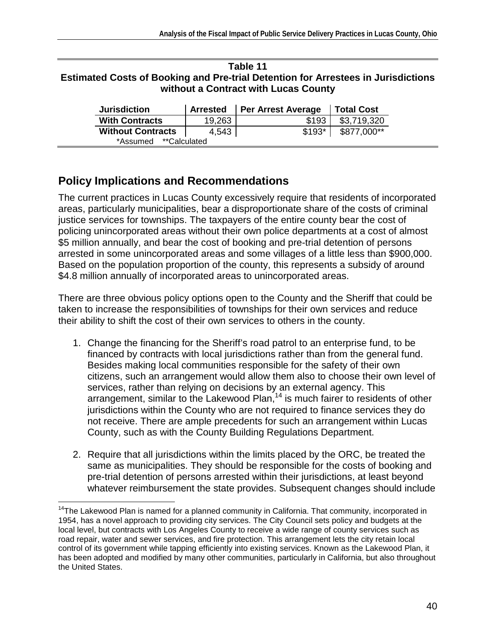#### **Table 11 Estimated Costs of Booking and Pre-trial Detention for Arrestees in Jurisdictions without a Contract with Lucas County**

| <b>Jurisdiction</b>       |        | Arrested   Per Arrest Average | <b>Total Cost</b> |
|---------------------------|--------|-------------------------------|-------------------|
| <b>With Contracts</b>     | 19,263 | \$193                         | \$3,719,320       |
| <b>Without Contracts</b>  | 4.543  | $$193*$                       | \$877,000**       |
| **Calculated*<br>*Assumed |        |                               |                   |

### **Policy Implications and Recommendations**

1

The current practices in Lucas County excessively require that residents of incorporated areas, particularly municipalities, bear a disproportionate share of the costs of criminal justice services for townships. The taxpayers of the entire county bear the cost of policing unincorporated areas without their own police departments at a cost of almost \$5 million annually, and bear the cost of booking and pre-trial detention of persons arrested in some unincorporated areas and some villages of a little less than \$900,000. Based on the population proportion of the county, this represents a subsidy of around \$4.8 million annually of incorporated areas to unincorporated areas.

There are three obvious policy options open to the County and the Sheriff that could be taken to increase the responsibilities of townships for their own services and reduce their ability to shift the cost of their own services to others in the county.

- 1. Change the financing for the Sheriff's road patrol to an enterprise fund, to be financed by contracts with local jurisdictions rather than from the general fund. Besides making local communities responsible for the safety of their own citizens, such an arrangement would allow them also to choose their own level of services, rather than relying on decisions by an external agency. This arrangement, similar to the Lakewood Plan,<sup>14</sup> is much fairer to residents of other jurisdictions within the County who are not required to finance services they do not receive. There are ample precedents for such an arrangement within Lucas County, such as with the County Building Regulations Department.
- 2. Require that all jurisdictions within the limits placed by the ORC, be treated the same as municipalities. They should be responsible for the costs of booking and pre-trial detention of persons arrested within their jurisdictions, at least beyond whatever reimbursement the state provides. Subsequent changes should include

<sup>&</sup>lt;sup>14</sup>The Lakewood Plan is named for a planned community in California. That community, incorporated in 1954, has a novel approach to providing city services. The City Council sets policy and budgets at the local level, but contracts with Los Angeles County to receive a wide range of county services such as road repair, water and sewer services, and fire protection. This arrangement lets the city retain local control of its government while tapping efficiently into existing services. Known as the Lakewood Plan, it has been adopted and modified by many other communities, particularly in California, but also throughout the United States.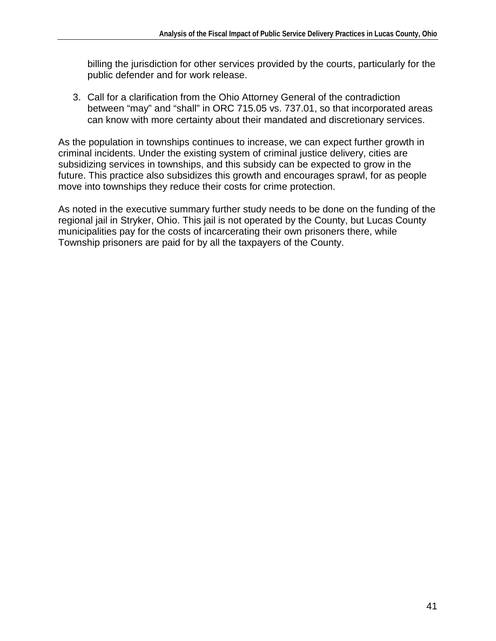billing the jurisdiction for other services provided by the courts, particularly for the public defender and for work release.

3. Call for a clarification from the Ohio Attorney General of the contradiction between "may" and "shall" in ORC 715.05 vs. 737.01, so that incorporated areas can know with more certainty about their mandated and discretionary services.

As the population in townships continues to increase, we can expect further growth in criminal incidents. Under the existing system of criminal justice delivery, cities are subsidizing services in townships, and this subsidy can be expected to grow in the future. This practice also subsidizes this growth and encourages sprawl, for as people move into townships they reduce their costs for crime protection.

As noted in the executive summary further study needs to be done on the funding of the regional jail in Stryker, Ohio. This jail is not operated by the County, but Lucas County municipalities pay for the costs of incarcerating their own prisoners there, while Township prisoners are paid for by all the taxpayers of the County.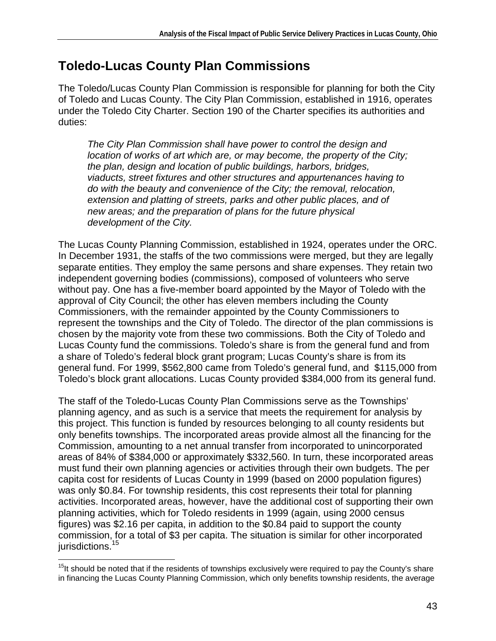# **Toledo-Lucas County Plan Commissions**

The Toledo/Lucas County Plan Commission is responsible for planning for both the City of Toledo and Lucas County. The City Plan Commission, established in 1916, operates under the Toledo City Charter. Section 190 of the Charter specifies its authorities and duties:

The City Plan Commission shall have power to control the design and location of works of art which are, or may become, the property of the City; the plan, design and location of public buildings, harbors, bridges, viaducts, street fixtures and other structures and appurtenances having to do with the beauty and convenience of the City; the removal, relocation, extension and platting of streets, parks and other public places, and of new areas; and the preparation of plans for the future physical development of the City.

The Lucas County Planning Commission, established in 1924, operates under the ORC. In December 1931, the staffs of the two commissions were merged, but they are legally separate entities. They employ the same persons and share expenses. They retain two independent governing bodies (commissions), composed of volunteers who serve without pay. One has a five-member board appointed by the Mayor of Toledo with the approval of City Council; the other has eleven members including the County Commissioners, with the remainder appointed by the County Commissioners to represent the townships and the City of Toledo. The director of the plan commissions is chosen by the majority vote from these two commissions. Both the City of Toledo and Lucas County fund the commissions. Toledo's share is from the general fund and from a share of Toledo's federal block grant program; Lucas County's share is from its general fund. For 1999, \$562,800 came from Toledo's general fund, and \$115,000 from Toledo's block grant allocations. Lucas County provided \$384,000 from its general fund.

The staff of the Toledo-Lucas County Plan Commissions serve as the Townships' planning agency, and as such is a service that meets the requirement for analysis by this project. This function is funded by resources belonging to all county residents but only benefits townships. The incorporated areas provide almost all the financing for the Commission, amounting to a net annual transfer from incorporated to unincorporated areas of 84% of \$384,000 or approximately \$332,560. In turn, these incorporated areas must fund their own planning agencies or activities through their own budgets. The per capita cost for residents of Lucas County in 1999 (based on 2000 population figures) was only \$0.84. For township residents, this cost represents their total for planning activities. Incorporated areas, however, have the additional cost of supporting their own planning activities, which for Toledo residents in 1999 (again, using 2000 census figures) was \$2.16 per capita, in addition to the \$0.84 paid to support the county commission, for a total of \$3 per capita. The situation is similar for other incorporated jurisdictions.<sup>15</sup>

<sup>1</sup> <sup>15</sup>It should be noted that if the residents of townships exclusively were required to pay the County's share in financing the Lucas County Planning Commission, which only benefits township residents, the average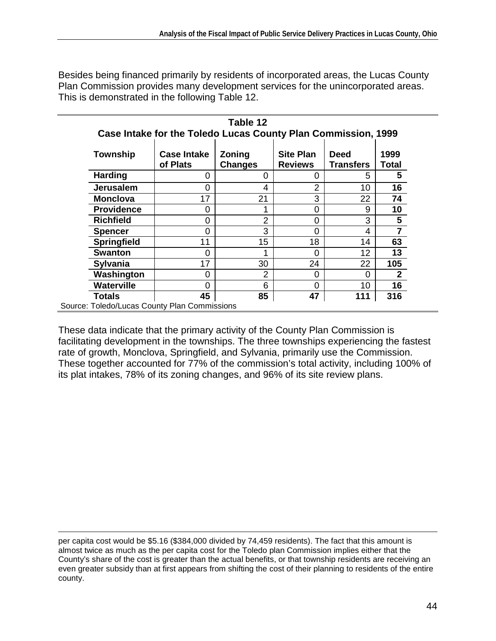Besides being financed primarily by residents of incorporated areas, the Lucas County Plan Commission provides many development services for the unincorporated areas. This is demonstrated in the following Table 12.

|                   | Table 12<br>Case Intake for the Toledo Lucas County Plan Commission, 1999 |                                                                                                                           |    |     |                 |  |  |  |  |  |  |
|-------------------|---------------------------------------------------------------------------|---------------------------------------------------------------------------------------------------------------------------|----|-----|-----------------|--|--|--|--|--|--|
| Township          | <b>Case Intake</b><br>of Plats                                            | <b>Site Plan</b><br><b>Zoning</b><br><b>Deed</b><br>1999<br><b>Changes</b><br><b>Transfers</b><br><b>Reviews</b><br>Total |    |     |                 |  |  |  |  |  |  |
| <b>Harding</b>    | ი                                                                         | Ω                                                                                                                         | 0  | 5   | 5               |  |  |  |  |  |  |
| <b>Jerusalem</b>  | ი                                                                         | 4                                                                                                                         | 2  | 10  | 16              |  |  |  |  |  |  |
| <b>Monclova</b>   | 17                                                                        | 21                                                                                                                        | 3  | 22  | 74              |  |  |  |  |  |  |
| <b>Providence</b> | ი                                                                         | ◢                                                                                                                         | 0  | 9   | 10              |  |  |  |  |  |  |
| <b>Richfield</b>  | 0                                                                         | $\overline{2}$                                                                                                            | 0  | 3   | $5\phantom{.0}$ |  |  |  |  |  |  |
| Spencer           | ი                                                                         | 3                                                                                                                         | 0  | 4   | $\overline{7}$  |  |  |  |  |  |  |
| Springfield       | 11                                                                        | 15                                                                                                                        | 18 | 14  | 63              |  |  |  |  |  |  |
| <b>Swanton</b>    | ⋂                                                                         |                                                                                                                           | 0  | 12  | 13              |  |  |  |  |  |  |
| <b>Sylvania</b>   | 17                                                                        | 30                                                                                                                        | 24 | 22  | 105             |  |  |  |  |  |  |
| Washington        | ი                                                                         | $\overline{2}$                                                                                                            | 0  | ი   | $\mathbf{2}$    |  |  |  |  |  |  |
| <b>Waterville</b> | ሰ                                                                         | 6                                                                                                                         | 0  | 10  | 16              |  |  |  |  |  |  |
| <b>Totals</b>     | 45                                                                        | 85                                                                                                                        | 47 | 111 | 316             |  |  |  |  |  |  |
|                   | Source: Toledo/Lucas County Plan Commissions                              |                                                                                                                           |    |     |                 |  |  |  |  |  |  |

These data indicate that the primary activity of the County Plan Commission is facilitating development in the townships. The three townships experiencing the fastest rate of growth, Monclova, Springfield, and Sylvania, primarily use the Commission. These together accounted for 77% of the commission's total activity, including 100% of its plat intakes, 78% of its zoning changes, and 96% of its site review plans.

l per capita cost would be \$5.16 (\$384,000 divided by 74,459 residents). The fact that this amount is almost twice as much as the per capita cost for the Toledo plan Commission implies either that the County's share of the cost is greater than the actual benefits, or that township residents are receiving an even greater subsidy than at first appears from shifting the cost of their planning to residents of the entire county.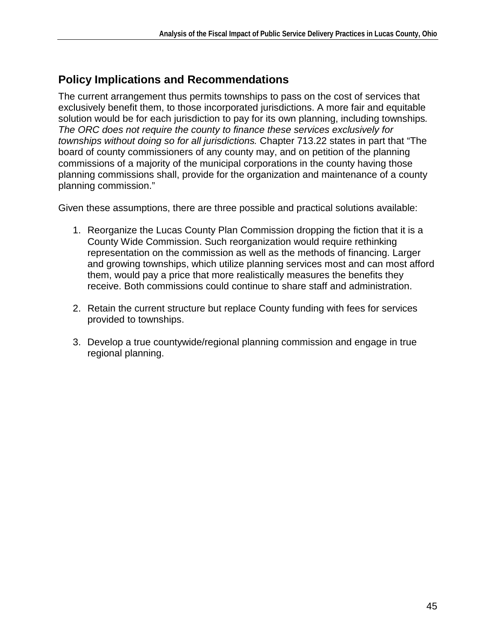### **Policy Implications and Recommendations**

The current arrangement thus permits townships to pass on the cost of services that exclusively benefit them, to those incorporated jurisdictions. A more fair and equitable solution would be for each jurisdiction to pay for its own planning, including townships. The ORC does not require the county to finance these services exclusively for townships without doing so for all jurisdictions. Chapter 713.22 states in part that "The board of county commissioners of any county may, and on petition of the planning commissions of a majority of the municipal corporations in the county having those planning commissions shall, provide for the organization and maintenance of a county planning commission."

Given these assumptions, there are three possible and practical solutions available:

- 1. Reorganize the Lucas County Plan Commission dropping the fiction that it is a County Wide Commission. Such reorganization would require rethinking representation on the commission as well as the methods of financing. Larger and growing townships, which utilize planning services most and can most afford them, would pay a price that more realistically measures the benefits they receive. Both commissions could continue to share staff and administration.
- 2. Retain the current structure but replace County funding with fees for services provided to townships.
- 3. Develop a true countywide/regional planning commission and engage in true regional planning.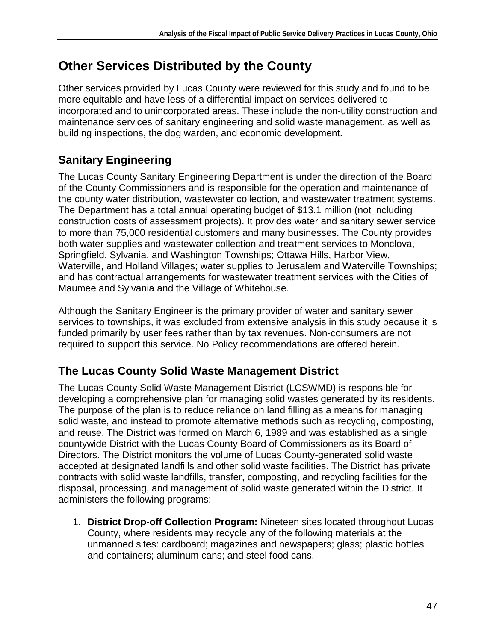# **Other Services Distributed by the County**

Other services provided by Lucas County were reviewed for this study and found to be more equitable and have less of a differential impact on services delivered to incorporated and to unincorporated areas. These include the non-utility construction and maintenance services of sanitary engineering and solid waste management, as well as building inspections, the dog warden, and economic development.

## **Sanitary Engineering**

The Lucas County Sanitary Engineering Department is under the direction of the Board of the County Commissioners and is responsible for the operation and maintenance of the county water distribution, wastewater collection, and wastewater treatment systems. The Department has a total annual operating budget of \$13.1 million (not including construction costs of assessment projects). It provides water and sanitary sewer service to more than 75,000 residential customers and many businesses. The County provides both water supplies and wastewater collection and treatment services to Monclova, Springfield, Sylvania, and Washington Townships; Ottawa Hills, Harbor View, Waterville, and Holland Villages; water supplies to Jerusalem and Waterville Townships; and has contractual arrangements for wastewater treatment services with the Cities of Maumee and Sylvania and the Village of Whitehouse.

Although the Sanitary Engineer is the primary provider of water and sanitary sewer services to townships, it was excluded from extensive analysis in this study because it is funded primarily by user fees rather than by tax revenues. Non-consumers are not required to support this service. No Policy recommendations are offered herein.

## **The Lucas County Solid Waste Management District**

The Lucas County Solid Waste Management District (LCSWMD) is responsible for developing a comprehensive plan for managing solid wastes generated by its residents. The purpose of the plan is to reduce reliance on land filling as a means for managing solid waste, and instead to promote alternative methods such as recycling, composting, and reuse. The District was formed on March 6, 1989 and was established as a single countywide District with the Lucas County Board of Commissioners as its Board of Directors. The District monitors the volume of Lucas County-generated solid waste accepted at designated landfills and other solid waste facilities. The District has private contracts with solid waste landfills, transfer, composting, and recycling facilities for the disposal, processing, and management of solid waste generated within the District. It administers the following programs:

1. **District Drop-off Collection Program:** Nineteen sites located throughout Lucas County, where residents may recycle any of the following materials at the unmanned sites: cardboard; magazines and newspapers; glass; plastic bottles and containers; aluminum cans; and steel food cans.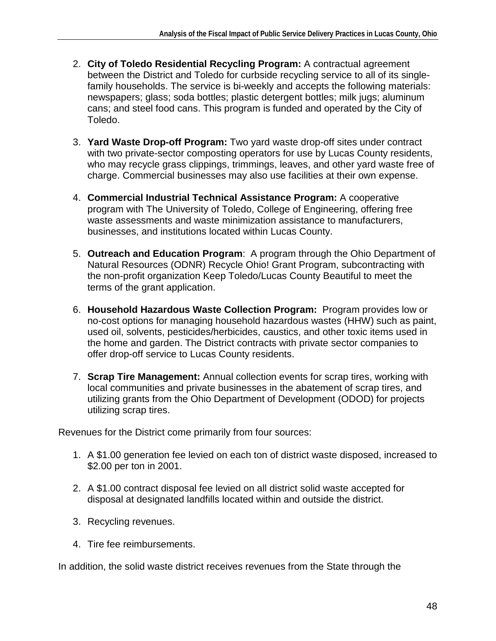- 2. **City of Toledo Residential Recycling Program:** A contractual agreement between the District and Toledo for curbside recycling service to all of its singlefamily households. The service is bi-weekly and accepts the following materials: newspapers; glass; soda bottles; plastic detergent bottles; milk jugs; aluminum cans; and steel food cans. This program is funded and operated by the City of Toledo.
- 3. **Yard Waste Drop-off Program:** Two yard waste drop-off sites under contract with two private-sector composting operators for use by Lucas County residents, who may recycle grass clippings, trimmings, leaves, and other yard waste free of charge. Commercial businesses may also use facilities at their own expense.
- 4. **Commercial Industrial Technical Assistance Program:** A cooperative program with The University of Toledo, College of Engineering, offering free waste assessments and waste minimization assistance to manufacturers, businesses, and institutions located within Lucas County.
- 5. **Outreach and Education Program**: A program through the Ohio Department of Natural Resources (ODNR) Recycle Ohio! Grant Program, subcontracting with the non-profit organization Keep Toledo/Lucas County Beautiful to meet the terms of the grant application.
- 6. **Household Hazardous Waste Collection Program:** Program provides low or no-cost options for managing household hazardous wastes (HHW) such as paint, used oil, solvents, pesticides/herbicides, caustics, and other toxic items used in the home and garden. The District contracts with private sector companies to offer drop-off service to Lucas County residents.
- 7. **Scrap Tire Management:** Annual collection events for scrap tires, working with local communities and private businesses in the abatement of scrap tires, and utilizing grants from the Ohio Department of Development (ODOD) for projects utilizing scrap tires.

Revenues for the District come primarily from four sources:

- 1. A \$1.00 generation fee levied on each ton of district waste disposed, increased to \$2.00 per ton in 2001.
- 2. A \$1.00 contract disposal fee levied on all district solid waste accepted for disposal at designated landfills located within and outside the district.
- 3. Recycling revenues.
- 4. Tire fee reimbursements.

In addition, the solid waste district receives revenues from the State through the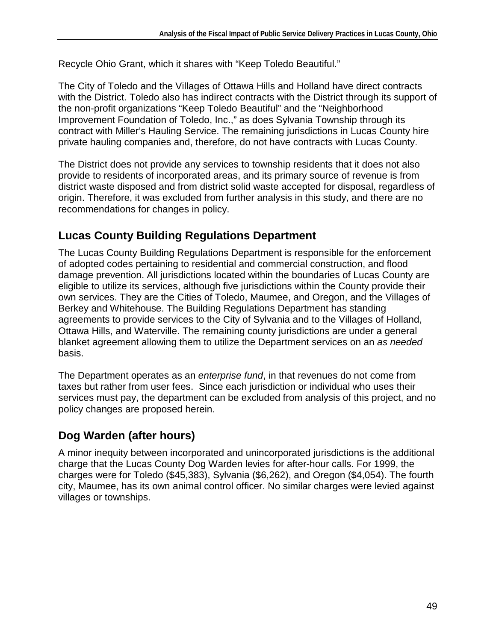Recycle Ohio Grant, which it shares with "Keep Toledo Beautiful."

The City of Toledo and the Villages of Ottawa Hills and Holland have direct contracts with the District. Toledo also has indirect contracts with the District through its support of the non-profit organizations "Keep Toledo Beautiful" and the "Neighborhood Improvement Foundation of Toledo, Inc.," as does Sylvania Township through its contract with Miller's Hauling Service. The remaining jurisdictions in Lucas County hire private hauling companies and, therefore, do not have contracts with Lucas County.

The District does not provide any services to township residents that it does not also provide to residents of incorporated areas, and its primary source of revenue is from district waste disposed and from district solid waste accepted for disposal, regardless of origin. Therefore, it was excluded from further analysis in this study, and there are no recommendations for changes in policy.

### **Lucas County Building Regulations Department**

The Lucas County Building Regulations Department is responsible for the enforcement of adopted codes pertaining to residential and commercial construction, and flood damage prevention. All jurisdictions located within the boundaries of Lucas County are eligible to utilize its services, although five jurisdictions within the County provide their own services. They are the Cities of Toledo, Maumee, and Oregon, and the Villages of Berkey and Whitehouse. The Building Regulations Department has standing agreements to provide services to the City of Sylvania and to the Villages of Holland, Ottawa Hills, and Waterville. The remaining county jurisdictions are under a general blanket agreement allowing them to utilize the Department services on an as needed basis.

The Department operates as an *enterprise fund*, in that revenues do not come from taxes but rather from user fees. Since each jurisdiction or individual who uses their services must pay, the department can be excluded from analysis of this project, and no policy changes are proposed herein.

## **Dog Warden (after hours)**

A minor inequity between incorporated and unincorporated jurisdictions is the additional charge that the Lucas County Dog Warden levies for after-hour calls. For 1999, the charges were for Toledo (\$45,383), Sylvania (\$6,262), and Oregon (\$4,054). The fourth city, Maumee, has its own animal control officer. No similar charges were levied against villages or townships.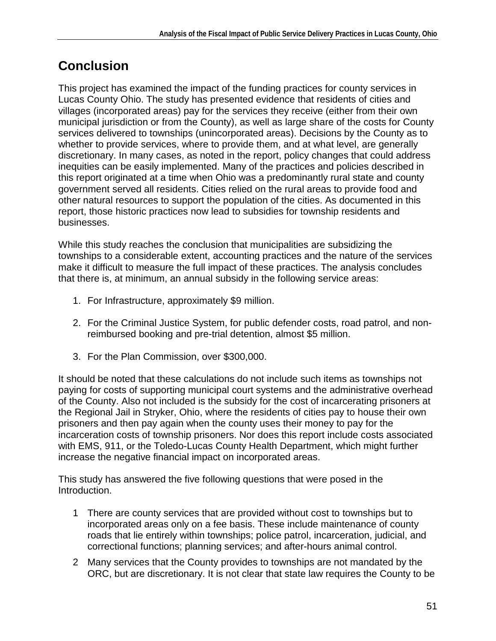# **Conclusion**

This project has examined the impact of the funding practices for county services in Lucas County Ohio. The study has presented evidence that residents of cities and villages (incorporated areas) pay for the services they receive (either from their own municipal jurisdiction or from the County), as well as large share of the costs for County services delivered to townships (unincorporated areas). Decisions by the County as to whether to provide services, where to provide them, and at what level, are generally discretionary. In many cases, as noted in the report, policy changes that could address inequities can be easily implemented. Many of the practices and policies described in this report originated at a time when Ohio was a predominantly rural state and county government served all residents. Cities relied on the rural areas to provide food and other natural resources to support the population of the cities. As documented in this report, those historic practices now lead to subsidies for township residents and businesses.

While this study reaches the conclusion that municipalities are subsidizing the townships to a considerable extent, accounting practices and the nature of the services make it difficult to measure the full impact of these practices. The analysis concludes that there is, at minimum, an annual subsidy in the following service areas:

- 1. For Infrastructure, approximately \$9 million.
- 2. For the Criminal Justice System, for public defender costs, road patrol, and nonreimbursed booking and pre-trial detention, almost \$5 million.
- 3. For the Plan Commission, over \$300,000.

It should be noted that these calculations do not include such items as townships not paying for costs of supporting municipal court systems and the administrative overhead of the County. Also not included is the subsidy for the cost of incarcerating prisoners at the Regional Jail in Stryker, Ohio, where the residents of cities pay to house their own prisoners and then pay again when the county uses their money to pay for the incarceration costs of township prisoners. Nor does this report include costs associated with EMS, 911, or the Toledo-Lucas County Health Department, which might further increase the negative financial impact on incorporated areas.

This study has answered the five following questions that were posed in the Introduction.

- 1 There are county services that are provided without cost to townships but to incorporated areas only on a fee basis. These include maintenance of county roads that lie entirely within townships; police patrol, incarceration, judicial, and correctional functions; planning services; and after-hours animal control.
- 2 Many services that the County provides to townships are not mandated by the ORC, but are discretionary. It is not clear that state law requires the County to be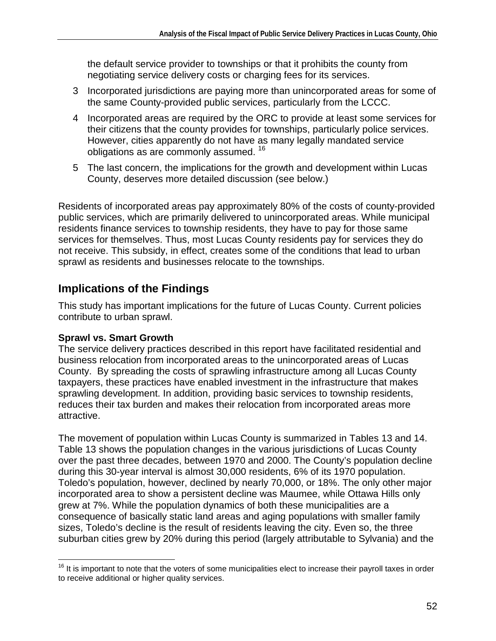the default service provider to townships or that it prohibits the county from negotiating service delivery costs or charging fees for its services.

- 3 Incorporated jurisdictions are paying more than unincorporated areas for some of the same County-provided public services, particularly from the LCCC.
- 4 Incorporated areas are required by the ORC to provide at least some services for their citizens that the county provides for townships, particularly police services. However, cities apparently do not have as many legally mandated service obligations as are commonly assumed.<sup>16</sup>
- 5 The last concern, the implications for the growth and development within Lucas County, deserves more detailed discussion (see below.)

Residents of incorporated areas pay approximately 80% of the costs of county-provided public services, which are primarily delivered to unincorporated areas. While municipal residents finance services to township residents, they have to pay for those same services for themselves. Thus, most Lucas County residents pay for services they do not receive. This subsidy, in effect, creates some of the conditions that lead to urban sprawl as residents and businesses relocate to the townships.

### **Implications of the Findings**

This study has important implications for the future of Lucas County. Current policies contribute to urban sprawl.

#### **Sprawl vs. Smart Growth**

The service delivery practices described in this report have facilitated residential and business relocation from incorporated areas to the unincorporated areas of Lucas County. By spreading the costs of sprawling infrastructure among all Lucas County taxpayers, these practices have enabled investment in the infrastructure that makes sprawling development. In addition, providing basic services to township residents, reduces their tax burden and makes their relocation from incorporated areas more attractive.

The movement of population within Lucas County is summarized in Tables 13 and 14. Table 13 shows the population changes in the various jurisdictions of Lucas County over the past three decades, between 1970 and 2000. The County's population decline during this 30-year interval is almost 30,000 residents, 6% of its 1970 population. Toledo's population, however, declined by nearly 70,000, or 18%. The only other major incorporated area to show a persistent decline was Maumee, while Ottawa Hills only grew at 7%. While the population dynamics of both these municipalities are a consequence of basically static land areas and aging populations with smaller family sizes, Toledo's decline is the result of residents leaving the city. Even so, the three suburban cities grew by 20% during this period (largely attributable to Sylvania) and the

<sup>1</sup> <sup>16</sup> It is important to note that the voters of some municipalities elect to increase their payroll taxes in order to receive additional or higher quality services.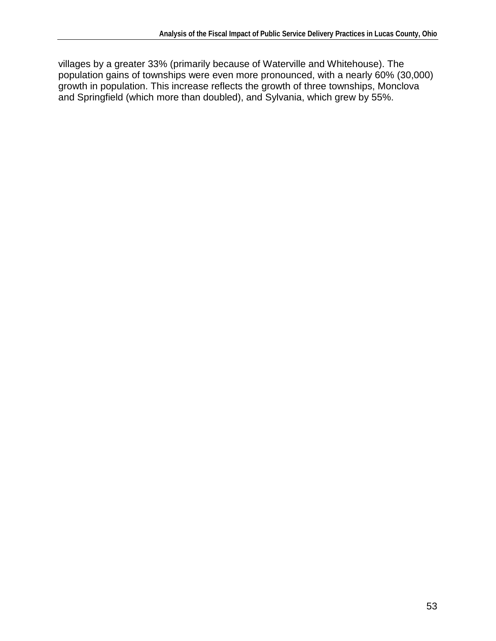villages by a greater 33% (primarily because of Waterville and Whitehouse). The population gains of townships were even more pronounced, with a nearly 60% (30,000) growth in population. This increase reflects the growth of three townships, Monclova and Springfield (which more than doubled), and Sylvania, which grew by 55%.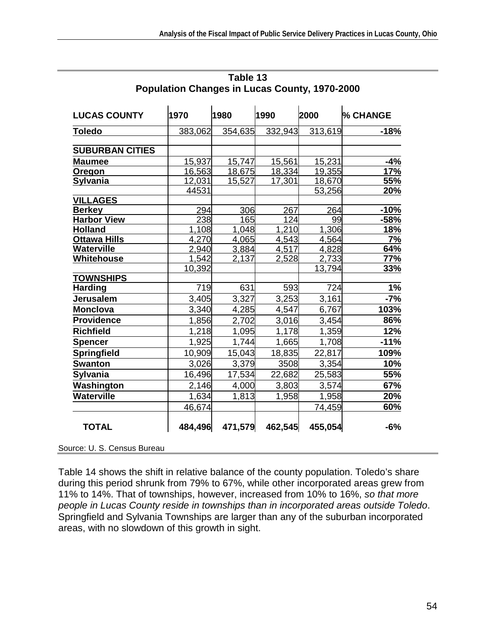| <b>LUCAS COUNTY</b>    | 1970    | 1980    | 1990    | 2000    | <b>% CHANGE</b> |
|------------------------|---------|---------|---------|---------|-----------------|
| <b>Toledo</b>          | 383,062 | 354,635 | 332,943 | 313,619 | $-18%$          |
|                        |         |         |         |         |                 |
| <b>SUBURBAN CITIES</b> |         |         |         |         |                 |
| <b>Maumee</b>          | 15,937  | 15,747  | 15,561  | 15,231  | $-4%$           |
| <b>Oregon</b>          | 16,563  | 18,675  | 18,334  | 19,355  | 17%             |
| <b>Sylvania</b>        | 12,031  | 15,527  | 17,301  | 18,670  | 55%             |
|                        | 44531   |         |         | 53,256  | <b>20%</b>      |
| <b>VILLAGES</b>        |         |         |         |         |                 |
| <b>Berkey</b>          | 294     | 306     | 267     | 264     | $-10%$          |
| <b>Harbor View</b>     | 238     | 165     | 124     | 99      | $-58%$          |
| <b>Holland</b>         | 1,108   | 1,048   | 1,210   | 1,306   | <u>18%</u>      |
| <b>Ottawa Hills</b>    | 4,270   | 4,065   | 4,543   | 4,564   | 7%              |
| <b>Waterville</b>      | 2,940   | 3,884   | 4,517   | 4,828   | 64%             |
| Whitehouse             | 1,542   | 2,137   | 2,528   | 2,733   | <b>77%</b>      |
|                        | 10,392  |         |         | 13,794  | 33%             |
| <b>TOWNSHIPS</b>       |         |         |         |         |                 |
| <b>Harding</b>         | 719     | 631     | 593     | 724     | 1%              |
| <b>Jerusalem</b>       | 3,405   | 3,327   | 3,253   | 3,161   | $-7%$           |
| <b>Monclova</b>        | 3,340   | 4,285   | 4,547   | 6,767   | 103%            |
| <b>Providence</b>      | 1,856   | 2,702   | 3,016   | 3,454   | 86%             |
| <b>Richfield</b>       | 1,218   | 1,095   | 1,178   | 1,359   | 12%             |
| <b>Spencer</b>         | 1,925   | 1,744   | 1,665   | 1,708   | $-11%$          |
| Springfield            | 10,909  | 15,043  | 18,835  | 22,817  | 109%            |
| <b>Swanton</b>         | 3,026   | 3,379   | 3508    | 3,354   | 10%             |
| <b>Sylvania</b>        | 16,496  | 17,534  | 22,682  | 25,583  | 55%             |
| Washington             | 2,146   | 4,000   | 3,803   | 3,574   | 67%             |
| <b>Waterville</b>      | 1,634   | 1,813   | 1,958   | 1,958   | 20%             |
|                        | 46,674  |         |         | 74,459  | 60%             |
| <b>TOTAL</b>           | 484,496 | 471,579 | 462,545 | 455,054 | $-6%$           |

**Table 13 Population Changes in Lucas County, 1970-2000** 

Source: U. S. Census Bureau

Table 14 shows the shift in relative balance of the county population. Toledo's share during this period shrunk from 79% to 67%, while other incorporated areas grew from 11% to 14%. That of townships, however, increased from 10% to 16%, so that more people in Lucas County reside in townships than in incorporated areas outside Toledo. Springfield and Sylvania Townships are larger than any of the suburban incorporated areas, with no slowdown of this growth in sight.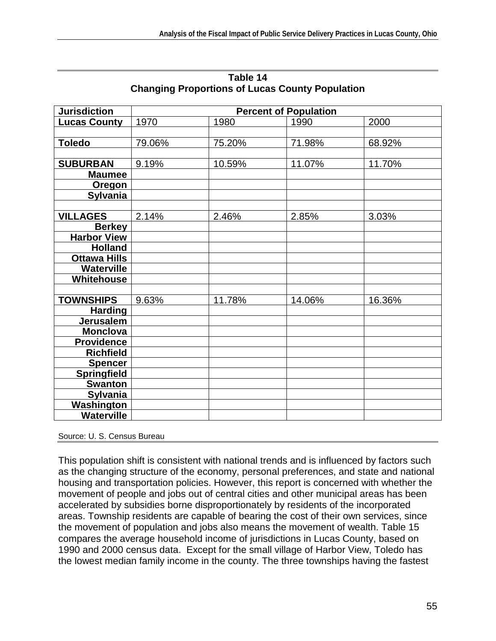| <b>Jurisdiction</b> | <b>Percent of Population</b> |        |        |        |  |
|---------------------|------------------------------|--------|--------|--------|--|
| <b>Lucas County</b> | 1970                         | 1980   | 1990   | 2000   |  |
|                     |                              |        |        |        |  |
| <b>Toledo</b>       | 79.06%                       | 75.20% | 71.98% | 68.92% |  |
|                     |                              |        |        |        |  |
| <b>SUBURBAN</b>     | 9.19%                        | 10.59% | 11.07% | 11.70% |  |
| <b>Maumee</b>       |                              |        |        |        |  |
| Oregon              |                              |        |        |        |  |
| <b>Sylvania</b>     |                              |        |        |        |  |
|                     |                              |        |        |        |  |
| <b>VILLAGES</b>     | 2.14%                        | 2.46%  | 2.85%  | 3.03%  |  |
| <b>Berkey</b>       |                              |        |        |        |  |
| <b>Harbor View</b>  |                              |        |        |        |  |
| <b>Holland</b>      |                              |        |        |        |  |
| <b>Ottawa Hills</b> |                              |        |        |        |  |
| <b>Waterville</b>   |                              |        |        |        |  |
| Whitehouse          |                              |        |        |        |  |
|                     |                              |        |        |        |  |
| <b>TOWNSHIPS</b>    | 9.63%                        | 11.78% | 14.06% | 16.36% |  |
| <b>Harding</b>      |                              |        |        |        |  |
| <b>Jerusalem</b>    |                              |        |        |        |  |
| <b>Monclova</b>     |                              |        |        |        |  |
| <b>Providence</b>   |                              |        |        |        |  |
| <b>Richfield</b>    |                              |        |        |        |  |
| <b>Spencer</b>      |                              |        |        |        |  |
| <b>Springfield</b>  |                              |        |        |        |  |
| <b>Swanton</b>      |                              |        |        |        |  |
| <b>Sylvania</b>     |                              |        |        |        |  |
| <b>Washington</b>   |                              |        |        |        |  |
| <b>Waterville</b>   |                              |        |        |        |  |

#### **Table 14 Changing Proportions of Lucas County Population**

Source: U. S. Census Bureau

This population shift is consistent with national trends and is influenced by factors such as the changing structure of the economy, personal preferences, and state and national housing and transportation policies. However, this report is concerned with whether the movement of people and jobs out of central cities and other municipal areas has been accelerated by subsidies borne disproportionately by residents of the incorporated areas. Township residents are capable of bearing the cost of their own services, since the movement of population and jobs also means the movement of wealth. Table 15 compares the average household income of jurisdictions in Lucas County, based on 1990 and 2000 census data. Except for the small village of Harbor View, Toledo has the lowest median family income in the county. The three townships having the fastest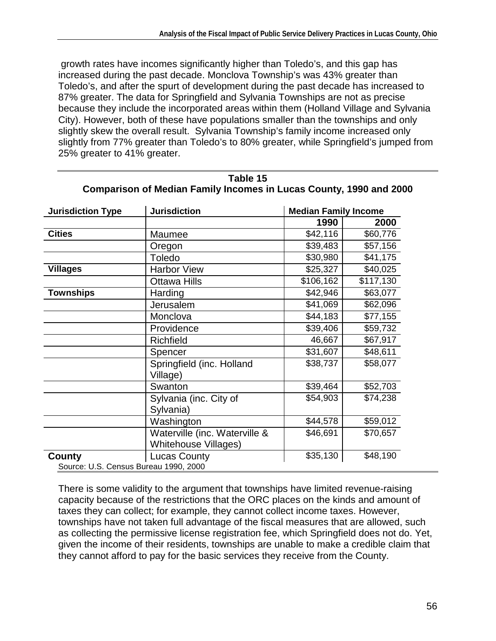growth rates have incomes significantly higher than Toledo's, and this gap has increased during the past decade. Monclova Township's was 43% greater than Toledo's, and after the spurt of development during the past decade has increased to 87% greater. The data for Springfield and Sylvania Townships are not as precise because they include the incorporated areas within them (Holland Village and Sylvania City). However, both of these have populations smaller than the townships and only slightly skew the overall result. Sylvania Township's family income increased only slightly from 77% greater than Toledo's to 80% greater, while Springfield's jumped from 25% greater to 41% greater.

| <b>Jurisdiction Type</b>              | <b>Jurisdiction</b>                                          | <b>Median Family Income</b> |           |  |
|---------------------------------------|--------------------------------------------------------------|-----------------------------|-----------|--|
|                                       |                                                              | 1990                        | 2000      |  |
| <b>Cities</b>                         | Maumee                                                       | \$42,116                    | \$60,776  |  |
|                                       | Oregon                                                       | \$39,483                    | \$57,156  |  |
|                                       | Toledo                                                       | \$30,980                    | \$41,175  |  |
| <b>Villages</b>                       | <b>Harbor View</b>                                           | \$25,327                    | \$40,025  |  |
|                                       | <b>Ottawa Hills</b>                                          | \$106,162                   | \$117,130 |  |
| <b>Townships</b>                      | Harding                                                      | \$42,946                    | \$63,077  |  |
|                                       | Jerusalem                                                    | \$41,069                    | \$62,096  |  |
|                                       | Monclova                                                     | \$44,183                    | \$77,155  |  |
|                                       | Providence                                                   | \$39,406                    | \$59,732  |  |
|                                       | <b>Richfield</b>                                             | 46,667                      | \$67,917  |  |
|                                       | Spencer                                                      | \$31,607                    | \$48,611  |  |
|                                       | Springfield (inc. Holland<br>Village)                        | \$38,737                    | \$58,077  |  |
|                                       | Swanton                                                      | \$39,464                    | \$52,703  |  |
|                                       | Sylvania (inc. City of<br>Sylvania)                          | \$54,903                    | \$74,238  |  |
|                                       | Washington                                                   | \$44,578                    | \$59,012  |  |
|                                       | Waterville (inc. Waterville &<br><b>Whitehouse Villages)</b> | \$46,691                    | \$70,657  |  |
| County                                | <b>Lucas County</b>                                          | \$35,130                    | \$48,190  |  |
| Source: U.S. Census Bureau 1990, 2000 |                                                              |                             |           |  |

**Table 15 Comparison of Median Family Incomes in Lucas County, 1990 and 2000** 

There is some validity to the argument that townships have limited revenue-raising capacity because of the restrictions that the ORC places on the kinds and amount of taxes they can collect; for example, they cannot collect income taxes. However, townships have not taken full advantage of the fiscal measures that are allowed, such as collecting the permissive license registration fee, which Springfield does not do. Yet, given the income of their residents, townships are unable to make a credible claim that they cannot afford to pay for the basic services they receive from the County.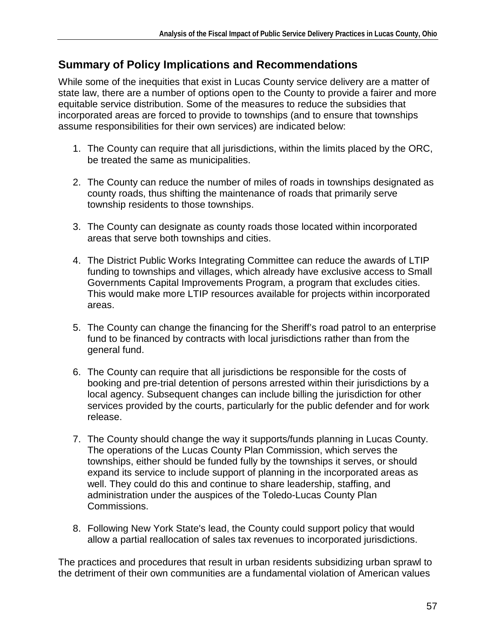### **Summary of Policy Implications and Recommendations**

While some of the inequities that exist in Lucas County service delivery are a matter of state law, there are a number of options open to the County to provide a fairer and more equitable service distribution. Some of the measures to reduce the subsidies that incorporated areas are forced to provide to townships (and to ensure that townships assume responsibilities for their own services) are indicated below:

- 1. The County can require that all jurisdictions, within the limits placed by the ORC, be treated the same as municipalities.
- 2. The County can reduce the number of miles of roads in townships designated as county roads, thus shifting the maintenance of roads that primarily serve township residents to those townships.
- 3. The County can designate as county roads those located within incorporated areas that serve both townships and cities.
- 4. The District Public Works Integrating Committee can reduce the awards of LTIP funding to townships and villages, which already have exclusive access to Small Governments Capital Improvements Program, a program that excludes cities. This would make more LTIP resources available for projects within incorporated areas.
- 5. The County can change the financing for the Sheriff's road patrol to an enterprise fund to be financed by contracts with local jurisdictions rather than from the general fund.
- 6. The County can require that all jurisdictions be responsible for the costs of booking and pre-trial detention of persons arrested within their jurisdictions by a local agency. Subsequent changes can include billing the jurisdiction for other services provided by the courts, particularly for the public defender and for work release.
- 7. The County should change the way it supports/funds planning in Lucas County. The operations of the Lucas County Plan Commission, which serves the townships, either should be funded fully by the townships it serves, or should expand its service to include support of planning in the incorporated areas as well. They could do this and continue to share leadership, staffing, and administration under the auspices of the Toledo-Lucas County Plan Commissions.
- 8. Following New York State's lead, the County could support policy that would allow a partial reallocation of sales tax revenues to incorporated jurisdictions.

The practices and procedures that result in urban residents subsidizing urban sprawl to the detriment of their own communities are a fundamental violation of American values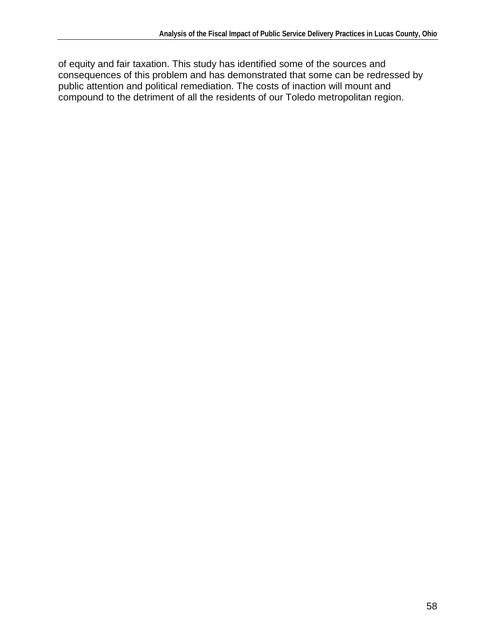of equity and fair taxation. This study has identified some of the sources and consequences of this problem and has demonstrated that some can be redressed by public attention and political remediation. The costs of inaction will mount and compound to the detriment of all the residents of our Toledo metropolitan region.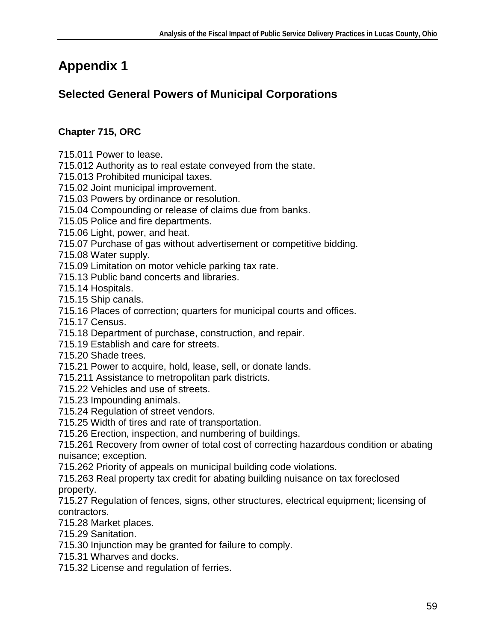# **Appendix 1**

## **Selected General Powers of Municipal Corporations**

### **Chapter 715, ORC**

715.011 Power to lease.

715.012 Authority as to real estate conveyed from the state.

715.013 Prohibited municipal taxes.

715.02 Joint municipal improvement.

715.03 Powers by ordinance or resolution.

715.04 Compounding or release of claims due from banks.

715.05 Police and fire departments.

715.06 Light, power, and heat.

715.07 Purchase of gas without advertisement or competitive bidding.

715.08 Water supply.

715.09 Limitation on motor vehicle parking tax rate.

715.13 Public band concerts and libraries.

715.14 Hospitals.

715.15 Ship canals.

715.16 Places of correction; quarters for municipal courts and offices.

715.17 Census.

715.18 Department of purchase, construction, and repair.

715.19 Establish and care for streets.

715.20 Shade trees.

715.21 Power to acquire, hold, lease, sell, or donate lands.

715.211 Assistance to metropolitan park districts.

715.22 Vehicles and use of streets.

715.23 Impounding animals.

715.24 Regulation of street vendors.

715.25 Width of tires and rate of transportation.

715.26 Erection, inspection, and numbering of buildings.

715.261 Recovery from owner of total cost of correcting hazardous condition or abating nuisance; exception.

715.262 Priority of appeals on municipal building code violations.

715.263 Real property tax credit for abating building nuisance on tax foreclosed property.

715.27 Regulation of fences, signs, other structures, electrical equipment; licensing of contractors.

715.28 Market places.

715.29 Sanitation.

715.30 Injunction may be granted for failure to comply.

715.31 Wharves and docks.

715.32 License and regulation of ferries.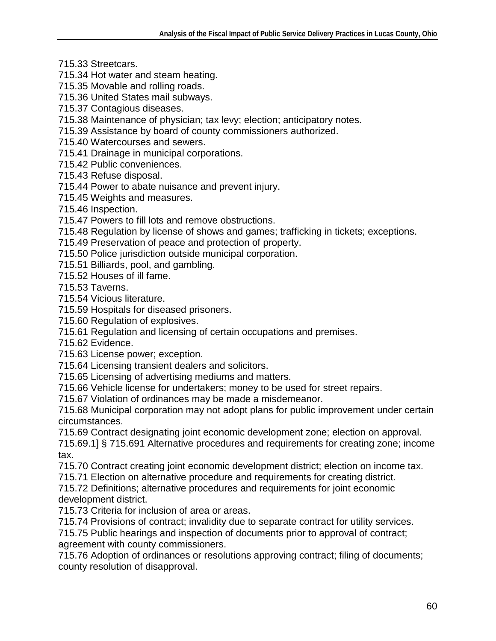- 715.33 Streetcars.
- 715.34 Hot water and steam heating.
- 715.35 Movable and rolling roads.
- 715.36 United States mail subways.
- 715.37 Contagious diseases.
- 715.38 Maintenance of physician; tax levy; election; anticipatory notes.
- 715.39 Assistance by board of county commissioners authorized.
- 715.40 Watercourses and sewers.
- 715.41 Drainage in municipal corporations.
- 715.42 Public conveniences.
- 715.43 Refuse disposal.
- 715.44 Power to abate nuisance and prevent injury.
- 715.45 Weights and measures.
- 715.46 Inspection.
- 715.47 Powers to fill lots and remove obstructions.
- 715.48 Regulation by license of shows and games; trafficking in tickets; exceptions.
- 715.49 Preservation of peace and protection of property.
- 715.50 Police jurisdiction outside municipal corporation.
- 715.51 Billiards, pool, and gambling.
- 715.52 Houses of ill fame.

715.53 Taverns.

- 715.54 Vicious literature.
- 715.59 Hospitals for diseased prisoners.
- 715.60 Regulation of explosives.
- 715.61 Regulation and licensing of certain occupations and premises.

715.62 Evidence.

- 715.63 License power; exception.
- 715.64 Licensing transient dealers and solicitors.
- 715.65 Licensing of advertising mediums and matters.
- 715.66 Vehicle license for undertakers; money to be used for street repairs.
- 715.67 Violation of ordinances may be made a misdemeanor.
- 715.68 Municipal corporation may not adopt plans for public improvement under certain circumstances.
- 715.69 Contract designating joint economic development zone; election on approval.
- 715.69.1] § 715.691 Alternative procedures and requirements for creating zone; income tax.
- 715.70 Contract creating joint economic development district; election on income tax.
- 715.71 Election on alternative procedure and requirements for creating district.
- 715.72 Definitions; alternative procedures and requirements for joint economic development district.
- 715.73 Criteria for inclusion of area or areas.
- 715.74 Provisions of contract; invalidity due to separate contract for utility services.
- 715.75 Public hearings and inspection of documents prior to approval of contract; agreement with county commissioners.
- 715.76 Adoption of ordinances or resolutions approving contract; filing of documents; county resolution of disapproval.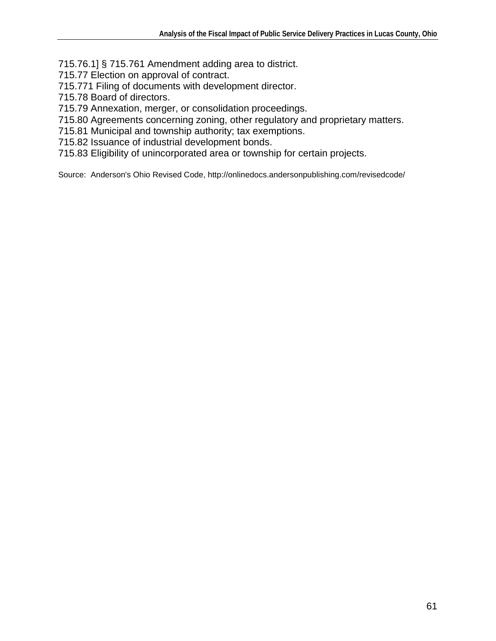715.76.1] § 715.761 Amendment adding area to district.

715.77 Election on approval of contract.

715.771 Filing of documents with development director.

715.78 Board of directors.

715.79 Annexation, merger, or consolidation proceedings.

715.80 Agreements concerning zoning, other regulatory and proprietary matters.

715.81 Municipal and township authority; tax exemptions.

715.82 Issuance of industrial development bonds.

715.83 Eligibility of unincorporated area or township for certain projects.

Source: Anderson's Ohio Revised Code, http://onlinedocs.andersonpublishing.com/revisedcode/